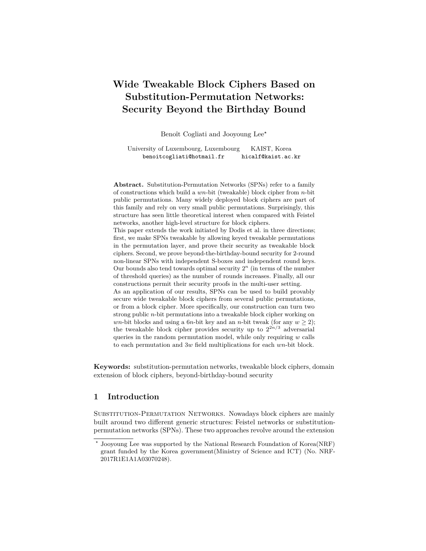# **Wide Tweakable Block Ciphers Based on Substitution-Permutation Networks: Security Beyond the Birthday Bound**

Benoît Cogliati and Jooyoung Lee*?*

University of Luxembourg, Luxembourg KAIST, Korea benoitcogliati@hotmail.fr hicalf@kaist.ac.kr

**Abstract.** Substitution-Permutation Networks (SPNs) refer to a family of constructions which build a *wn*-bit (tweakable) block cipher from *n*-bit public permutations. Many widely deployed block ciphers are part of this family and rely on very small public permutations. Surprisingly, this structure has seen little theoretical interest when compared with Feistel networks, another high-level structure for block ciphers.

This paper extends the work initiated by Dodis et al. in three directions; first, we make SPNs tweakable by allowing keyed tweakable permutations in the permutation layer, and prove their security as tweakable block ciphers. Second, we prove beyond-the-birthday-bound security for 2-round non-linear SPNs with independent S-boxes and independent round keys. Our bounds also tend towards optimal security  $2<sup>n</sup>$  (in terms of the number of threshold queries) as the number of rounds increases. Finally, all our constructions permit their security proofs in the multi-user setting. As an application of our results, SPNs can be used to build provably secure wide tweakable block ciphers from several public permutations, or from a block cipher. More specifically, our construction can turn two strong public *n*-bit permutations into a tweakable block cipher working on *wn*-bit blocks and using a 6*n*-bit key and an *n*-bit tweak (for any  $w \ge 2$ ); the tweakable block cipher provides security up to  $2^{2n/3}$  adversarial queries in the random permutation model, while only requiring *w* calls

**Keywords:** substitution-permutation networks, tweakable block ciphers, domain extension of block ciphers, beyond-birthday-bound security

to each permutation and 3*w* field multiplications for each *wn*-bit block.

## **1 Introduction**

SUBSTITUTION-PERMUTATION NETWORKS. Nowadays block ciphers are mainly built around two different generic structures: Feistel networks or substitutionpermutation networks (SPNs). These two approaches revolve around the extension

*<sup>?</sup>* Jooyoung Lee was supported by the National Research Foundation of Korea(NRF) grant funded by the Korea government(Ministry of Science and ICT) (No. NRF-2017R1E1A1A03070248).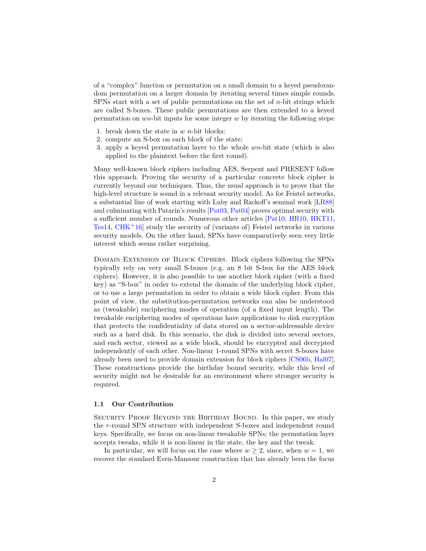of a "complex" function or permutation on a small domain to a keyed pseudorandom permutation on a larger domain by iterating several times simple rounds. SPNs start with a set of public permutations on the set of *n*-bit strings which are called S-boxes. These public permutations are then extended to a keyed permutation on *wn*-bit inputs for some integer *w* by iterating the following steps:

- 1. break down the state in *w n*-bit blocks;
- 2. compute an S-box on each block of the state;
- 3. apply a keyed permutation layer to the whole *wn*-bit state (which is also applied to the plaintext before the first round).

Many well-known block ciphers including AES, Serpent and PRESENT follow this approach. Proving the security of a particular concrete block cipher is currently beyond our techniques. Thus, the usual approach is to prove that the high-level structure is sound in a relevant security model. As for Feistel networks, a substantial line of work starting with Luby and Rackoff's seminal work [\[LR88\]](#page-26-0) and culminating with Patarin's results [\[Pat03,](#page-27-0) [Pat04\]](#page-27-1) proves optimal security with a sufficient number of rounds. Numerous other articles [\[Pat10,](#page-27-2) [HR10,](#page-26-1) [HKT11,](#page-26-2) [Tes14,](#page-27-3) [CHK](#page-25-0)<sup>+</sup>16] study the security of (variants of) Feistel networks in various security models. On the other hand, SPNs have comparatively seen very little interest which seems rather surprising.

Domain Extension of Block Ciphers. Block ciphers following the SPNs typically rely on very small S-boxes (e.g. an 8 bit S-box for the AES block ciphers). However, it is also possible to use another block cipher (with a fixed key) as "S-box" in order to extend the domain of the underlying block cipher, or to use a large permutation in order to obtain a wide block cipher. From this point of view, the substitution-permutation networks can also be understood as (tweakable) enciphering modes of operation (of a fixed input length). The tweakable enciphering modes of operations have applications to disk encryption that protects the confidentiality of data stored on a sector-addressable device such as a hard disk. In this scenario, the disk is divided into several sectors, and each sector, viewed as a wide block, should be encrypted and decrypted independently of each other. Non-linear 1-round SPNs with secret S-boxes have already been used to provide domain extension for block ciphers [\[CS06b,](#page-25-1) [Hal07\]](#page-26-3). These constructions provide the birthday bound security, while this level of security might not be desirable for an environment where stronger security is required.

#### **1.1 Our Contribution**

Security Proof Beyond the Birthday Bound. In this paper, we study the *r*-round SPN structure with independent S-boxes and independent round keys. Specifically, we focus on non-linear tweakable SPNs; the permutation layer accepts tweaks, while it is non-linear in the state, the key and the tweak.

In particular, we will focus on the case where  $w \geq 2$ , since, when  $w = 1$ , we recover the standard Even-Mansour construction that has already been the focus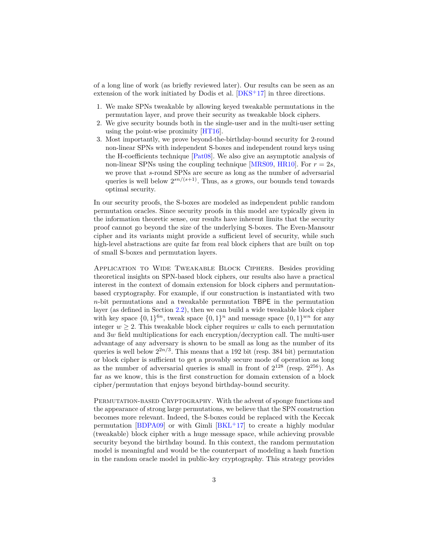of a long line of work (as briefly reviewed later). Our results can be seen as an extension of the work initiated by Dodis et al. [\[DKS](#page-25-2)<sup>+</sup>17] in three directions.

- 1. We make SPNs tweakable by allowing keyed tweakable permutations in the permutation layer, and prove their security as tweakable block ciphers.
- 2. We give security bounds both in the single-user and in the multi-user setting using the point-wise proximity [\[HT16\]](#page-26-4).
- 3. Most importantly, we prove beyond-the-birthday-bound security for 2-round non-linear SPNs with independent S-boxes and independent round keys using the H-coefficients technique [\[Pat08\]](#page-27-4). We also give an asymptotic analysis of non-linear SPNs using the coupling technique [\[MRS09,](#page-26-5) [HR10\]](#page-26-1). For  $r = 2s$ , we prove that *s*-round SPNs are secure as long as the number of adversarial queries is well below 2 *sn/*(*s*+1). Thus, as *s* grows, our bounds tend towards optimal security.

In our security proofs, the S-boxes are modeled as independent public random permutation oracles. Since security proofs in this model are typically given in the information theoretic sense, our results have inherent limits that the security proof cannot go beyond the size of the underlying S-boxes. The Even-Mansour cipher and its variants might provide a sufficient level of security, while such high-level abstractions are quite far from real block ciphers that are built on top of small S-boxes and permutation layers.

Application to Wide Tweakable Block Ciphers. Besides providing theoretical insights on SPN-based block ciphers, our results also have a practical interest in the context of domain extension for block ciphers and permutationbased cryptography. For example, if our construction is instantiated with two *n*-bit permutations and a tweakable permutation TBPE in the permutation layer (as defined in Section [2.2\)](#page-6-0), then we can build a wide tweakable block cipher with key space  $\{0,1\}^{6n}$ , tweak space  $\{0,1\}^n$  and message space  $\{0,1\}^{wn}$  for any integer  $w > 2$ . This tweakable block cipher requires *w* calls to each permutation and 3*w* field multiplications for each encryption/decryption call. The multi-user advantage of any adversary is shown to be small as long as the number of its queries is well below  $2^{2n/3}$ . This means that a 192 bit (resp. 384 bit) permutation or block cipher is sufficient to get a provably secure mode of operation as long as the number of adversarial queries is small in front of  $2^{128}$  (resp.  $2^{256}$ ). As far as we know, this is the first construction for domain extension of a block cipher/permutation that enjoys beyond birthday-bound security.

PERMUTATION-BASED CRYPTOGRAPHY. With the advent of sponge functions and the appearance of strong large permutations, we believe that the SPN construction becomes more relevant. Indeed, the S-boxes could be replaced with the Keccak permutation [\[BDPA09\]](#page-24-0) or with Gimli  $[BKL+17]$  $[BKL+17]$  to create a highly modular (tweakable) block cipher with a huge message space, while achieving provable security beyond the birthday bound. In this context, the random permutation model is meaningful and would be the counterpart of modeling a hash function in the random oracle model in public-key cryptography. This strategy provides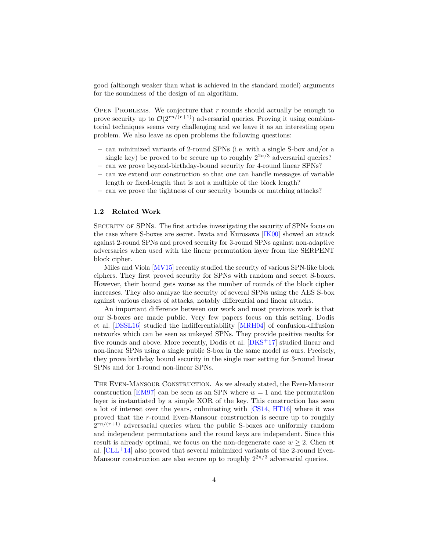good (although weaker than what is achieved in the standard model) arguments for the soundness of the design of an algorithm.

Open Problems. We conjecture that *r* rounds should actually be enough to prove security up to  $\mathcal{O}(2^{rn/(r+1)})$  adversarial queries. Proving it using combinatorial techniques seems very challenging and we leave it as an interesting open problem. We also leave as open problems the following questions:

- **–** can minimized variants of 2-round SPNs (i.e. with a single S-box and/or a single key) be proved to be secure up to roughly  $2^{2n/3}$  adversarial queries?
- **–** can we prove beyond-birthday-bound security for 4-round linear SPNs?
- **–** can we extend our construction so that one can handle messages of variable length or fixed-length that is not a multiple of the block length?
- **–** can we prove the tightness of our security bounds or matching attacks?

#### **1.2 Related Work**

Security of SPNs. The first articles investigating the security of SPNs focus on the case where S-boxes are secret. Iwata and Kurosawa [\[IK00\]](#page-26-6) showed an attack against 2-round SPNs and proved security for 3-round SPNs against non-adaptive adversaries when used with the linear permutation layer from the SERPENT block cipher.

Miles and Viola [\[MV15\]](#page-26-7) recently studied the security of various SPN-like block ciphers. They first proved security for SPNs with random and secret S-boxes. However, their bound gets worse as the number of rounds of the block cipher increases. They also analyze the security of several SPNs using the AES S-box against various classes of attacks, notably differential and linear attacks.

An important difference between our work and most previous work is that our S-boxes are made public. Very few papers focus on this setting. Dodis et al. [\[DSSL16\]](#page-25-3) studied the indifferentiability [\[MRH04\]](#page-26-8) of confusion-diffusion networks which can be seen as unkeyed SPNs. They provide positive results for five rounds and above. More recently, Dodis et al. [\[DKS](#page-25-2)<sup>+</sup>17] studied linear and non-linear SPNs using a single public S-box in the same model as ours. Precisely, they prove birthday bound security in the single user setting for 3-round linear SPNs and for 1-round non-linear SPNs.

The Even-Mansour Construction. As we already stated, the Even-Mansour construction [\[EM97\]](#page-25-4) can be seen as an SPN where  $w = 1$  and the permutation layer is instantiated by a simple XOR of the key. This construction has seen a lot of interest over the years, culminating with [\[CS14,](#page-25-5) [HT16\]](#page-26-4) where it was proved that the *r*-round Even-Mansour construction is secure up to roughly  $2^{rn/(r+1)}$  adversarial queries when the public S-boxes are uniformly random and independent permutations and the round keys are independent. Since this result is already optimal, we focus on the non-degenerate case  $w \geq 2$ . Chen et al.  $[CLL+14]$  $[CLL+14]$  also proved that several minimized variants of the 2-round Even-Mansour construction are also secure up to roughly 2 <sup>2</sup>*n/*<sup>3</sup> adversarial queries.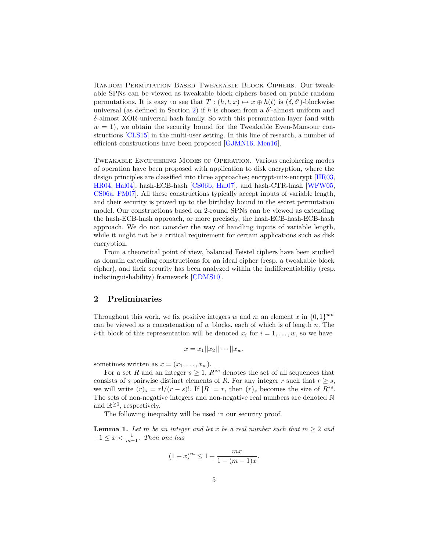Random Permutation Based Tweakable Block Ciphers. Our tweakable SPNs can be viewed as tweakable block ciphers based on public random permutations. It is easy to see that  $T : (h, t, x) \mapsto x \oplus h(t)$  is  $(\delta, \delta')$ -blockwise universal (as defined in Section [2\)](#page-4-0) if  $h$  is chosen from a  $\delta'$ -almost uniform and *δ*-almost XOR-universal hash family. So with this permutation layer (and with  $w = 1$ , we obtain the security bound for the Tweakable Even-Mansour constructions [\[CLS15\]](#page-25-7) in the multi-user setting. In this line of research, a number of efficient constructions have been proposed [\[GJMN16,](#page-25-8) [Men16\]](#page-26-9).

Tweakable Enciphering Modes of Operation. Various enciphering modes of operation have been proposed with application to disk encryption, where the design principles are classified into three approaches; encrypt-mix-encrypt [\[HR03,](#page-26-10) [HR04,](#page-26-11) [Hal04\]](#page-26-12), hash-ECB-hash [\[CS06b,](#page-25-1) [Hal07\]](#page-26-3), and hash-CTR-hash [\[WFW05,](#page-27-5) [CS06a,](#page-25-9) [FM07\]](#page-25-10). All these constructions typically accept inputs of variable length, and their security is proved up to the birthday bound in the secret permutation model. Our constructions based on 2-round SPNs can be viewed as extending the hash-ECB-hash approach, or more precisely, the hash-ECB-hash-ECB-hash approach. We do not consider the way of handling inputs of variable length, while it might not be a critical requirement for certain applications such as disk encryption.

From a theoretical point of view, balanced Feistel ciphers have been studied as domain extending constructions for an ideal cipher (resp. a tweakable block cipher), and their security has been analyzed within the indifferentiability (resp. indistinguishability) framework [\[CDMS10\]](#page-25-11).

## <span id="page-4-0"></span>**2 Preliminaries**

Throughout this work, we fix positive integers *w* and *n*; an element *x* in  $\{0,1\}^{wn}$ can be viewed as a concatenation of *w* blocks, each of which is of length *n*. The *i*-th block of this representation will be denoted  $x_i$  for  $i = 1, \ldots, w$ , so we have

$$
x = x_1||x_2||\cdots||x_w,
$$

sometimes written as  $x = (x_1, \ldots, x_w)$ .

For a set R and an integer  $s \geq 1$ ,  $R^{*s}$  denotes the set of all sequences that consists of *s* pairwise distinct elements of *R*. For any integer *r* such that  $r \geq s$ , we will write  $(r)_s = r!/(r - s)!$ . If  $|R| = r$ , then  $(r)_s$  becomes the size of  $R^{*s}$ . The sets of non-negative integers and non-negative real numbers are denoted N and  $\mathbb{R}^{\geq 0}$ , respectively.

The following inequality will be used in our security proof.

<span id="page-4-1"></span>**Lemma 1.** Let *m* be an integer and let *x* be a real number such that  $m \geq 2$  and  $-1 \leq x < \frac{1}{m-1}$ . Then one has

$$
(1+x)^m \le 1 + \frac{mx}{1 - (m-1)x}.
$$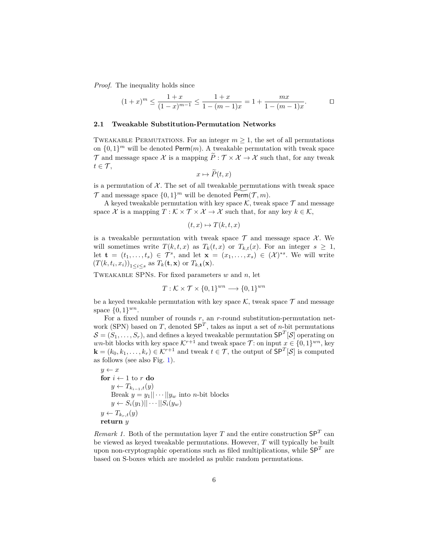*Proof.* The inequality holds since

$$
(1+x)^m \le \frac{1+x}{(1-x)^{m-1}} \le \frac{1+x}{1-(m-1)x} = 1 + \frac{mx}{1-(m-1)x}.
$$

#### **2.1 Tweakable Substitution-Permutation Networks**

TWEAKABLE PERMUTATIONS. For an integer  $m \geq 1$ , the set of all permutations on  $\{0,1\}^m$  will be denoted Perm $(m)$ . A tweakable permutation with tweak space T and message space X is a mapping  $\tilde{P}: \mathcal{T} \times \mathcal{X} \to \mathcal{X}$  such that, for any tweak  $t \in \mathcal{T}$ ,

$$
x \mapsto P(t, x)
$$

is a permutation of  $X$ . The set of all tweakable permutations with tweak space  $\mathcal{T}$  and message space  $\{0,1\}^m$  will be denoted  $\widetilde{\operatorname{Perm}}(\mathcal{T}, m)$ .

A keyed tweakable permutation with key space  $K$ , tweak space  $\mathcal T$  and message space  $\mathcal X$  is a mapping  $T : \mathcal K \times \mathcal T \times \mathcal X \to \mathcal X$  such that, for any key  $k \in \mathcal K$ ,

$$
(t, x) \mapsto T(k, t, x)
$$

is a tweakable permutation with tweak space  $\mathcal T$  and message space  $\mathcal X$ . We will sometimes write  $T(k, t, x)$  as  $T_k(t, x)$  or  $T_{k,t}(x)$ . For an integer  $s \geq 1$ , let  $\mathbf{t} = (t_1, \ldots, t_s) \in \mathcal{T}^s$ , and let  $\mathbf{x} = (x_1, \ldots, x_s) \in (\mathcal{X})^{*s}$ . We will write  $(T(k, t_i, x_i))_{1 \leq i \leq s}$  as  $T_k(\mathbf{t}, \mathbf{x})$  or  $T_{k, \mathbf{t}}(\mathbf{x})$ .

Tweakable SPNs. For fixed parameters *w* and *n*, let

$$
T: \mathcal{K} \times \mathcal{T} \times \{0, 1\}^{wn} \longrightarrow \{0, 1\}^{wn}
$$

be a keyed tweakable permutation with key space  $K$ , tweak space  $\mathcal T$  and message space  $\{0, 1\}^{wn}$ .

For a fixed number of rounds *r*, an *r*-round substitution-permutation network (SPN) based on *T*, denoted SP*<sup>T</sup>* , takes as input a set of *n*-bit permutations  $\mathcal{S} = (S_1, \ldots, S_r)$ , and defines a keyed tweakable permutation  $\mathsf{SP}^T[\mathcal{S}]$  operating on *wn*-bit blocks with key space  $K^{r+1}$  and tweak space  $\mathcal{T}$ : on input  $x \in \{0,1\}^{wn}$ , key  $\mathbf{k} = (k_0, k_1, \dots, k_r) \in \mathcal{K}^{r+1}$  and tweak  $t \in \mathcal{T}$ , the output of  $\mathsf{SP}^T[\mathcal{S}]$  is computed as follows (see also Fig. [1\)](#page-6-1).

$$
y \leftarrow x
$$
  
\n**for**  $i \leftarrow 1$  to  $r$  **do**  
\n
$$
y \leftarrow T_{k_{i-1},t}(y)
$$
  
\n**Break**  $y = y_1 || \cdots || y_w$  into *n*-bit blocks  
\n
$$
y \leftarrow S_i(y_1) || \cdots || S_i(y_w)
$$
  
\n
$$
y \leftarrow T_{k_r,t}(y)
$$
  
\n**return**  $y$ 

*Remark 1.* Both of the permutation layer *T* and the entire construction  $SP<sup>T</sup>$  can be viewed as keyed tweakable permutations. However, *T* will typically be built upon non-cryptographic operations such as filed multiplications, while  $SP<sup>T</sup>$  are based on S-boxes which are modeled as public random permutations.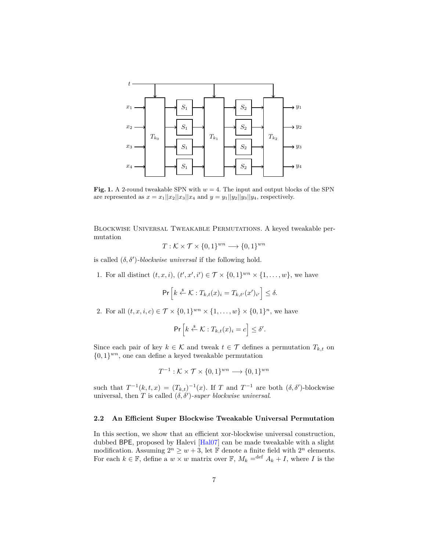

<span id="page-6-1"></span>**Fig. 1.** A 2-round tweakable SPN with  $w = 4$ . The input and output blocks of the SPN are represented as  $x = x_1 ||x_2||x_3||x_4$  and  $y = y_1 ||y_2||y_3||y_4$ , respectively.

Blockwise Universal Tweakable Permutations. A keyed tweakable permutation

$$
T: \mathcal{K} \times \mathcal{T} \times \{0, 1\}^{wn} \longrightarrow \{0, 1\}^{wn}
$$

is called  $(\delta, \delta')$ -blockwise universal if the following hold.

1. For all distinct  $(t, x, i), (t', x', i') \in \mathcal{T} \times \{0, 1\}^{wn} \times \{1, \ldots, w\}$ , we have

$$
\Pr\left[k \stackrel{\$}{\leftarrow} \mathcal{K}: T_{k,t}(x)_i = T_{k,t'}(x')_{i'}\right] \leq \delta.
$$

2. For all  $(t, x, i, c) \in \mathcal{T} \times \{0, 1\}^{wn} \times \{1, ..., w\} \times \{0, 1\}^n$ , we have

$$
\Pr\left[k \stackrel{\$}{\leftarrow} \mathcal{K} : T_{k,t}(x)_i = c\right] \leq \delta'.
$$

Since each pair of key  $k \in \mathcal{K}$  and tweak  $t \in \mathcal{T}$  defines a permutation  $T_{k,t}$  on  $\{0,1\}^{wn}$ , one can define a keyed tweakable permutation

$$
T^{-1}: \mathcal{K} \times \mathcal{T} \times \{0,1\}^{wn} \longrightarrow \{0,1\}^{wn}
$$

such that  $T^{-1}(k, t, x) = (T_{k,t})^{-1}(x)$ . If *T* and  $T^{-1}$  are both  $(\delta, \delta')$ -blockwise universal, then *T* is called  $(\delta, \delta')$ -super blockwise universal.

#### <span id="page-6-0"></span>**2.2 An Efficient Super Blockwise Tweakable Universal Permutation**

In this section, we show that an efficient xor-blockwise universal construction, dubbed BPE, proposed by Halevi [\[Hal07\]](#page-26-3) can be made tweakable with a slight modification. Assuming  $2^n \geq w+3$ , let **F** denote a finite field with  $2^n$  elements. For each  $k \in \mathbb{F}$ , define a  $w \times w$  matrix over  $\mathbb{F}$ ,  $M_k =$ <sup>def</sup>  $A_k + I$ , where *I* is the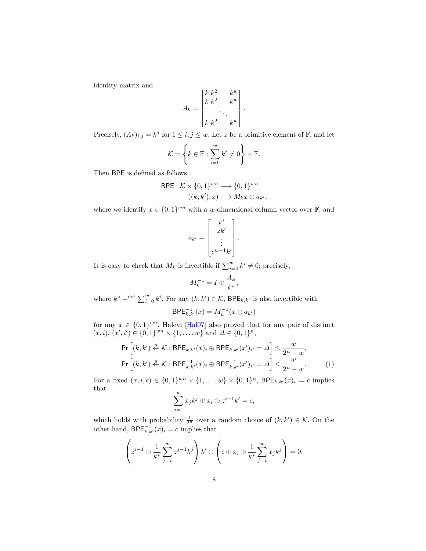identity matrix and

$$
A_k = \begin{bmatrix} k & k^2 & k^w \\ k & k^2 & k^w \\ & \ddots & \\ k & k^2 & k^w \end{bmatrix}.
$$

Precisely,  $(A_k)_{i,j} = k^j$  for  $1 \leq i, j \leq w$ . Let z be a primitive element of F, and let

$$
\mathcal{K} = \left\{ k \in \mathbb{F} : \sum_{i=0}^{w} k^i \neq 0 \right\} \times \mathbb{F}.
$$

Then BPE is defined as follows.

BPE: 
$$
\mathcal{K} \times \{0, 1\}^{wn} \longrightarrow \{0, 1\}^{wn}
$$
  
 $((k, k'), x) \longmapsto M_k x \oplus a_{k'}$ ,

where we identify  $x \in \{0,1\}^{wn}$  with a *w*-dimensional column vector over  $\mathbb{F}$ , and

$$
a_{k'} = \begin{bmatrix} k' \\ zk' \\ \vdots \\ z^{w-1}k' \end{bmatrix}.
$$

It is easy to check that  $M_k$  is invertible if  $\sum_{i=0}^w k^i \neq 0$ ; precisely,

$$
M_k^{-1} = I \oplus \frac{A_k}{k^*},
$$

where  $k^* = \text{def } \sum_{i=0}^w k^i$ . For any  $(k, k') \in \mathcal{K}$ , BPE<sub>k,k'</sub> is also invertible with

$$
\mathsf{BPE}_{k,k'}^{-1}(x) = M_k^{-1}(x \oplus a_{k'})
$$

for any  $x \in \{0,1\}^{wn}$ . Halevi [\[Hal07\]](#page-26-3) also proved that for any pair of distinct  $(x, i), (x', i') \in \{0, 1\}^{wn} \times \{1, \ldots, w\}$  and  $\Delta \in \{0, 1\}^n$ ,

$$
\Pr\left[(k,k') \stackrel{\$}{\leftarrow} \mathcal{K} : \mathsf{BPE}_{k,k'}(x)_i \oplus \mathsf{BPE}_{k,k'}(x')_{i'} = \Delta\right] \le \frac{w}{2^n - w},
$$
\n
$$
\Pr\left[(k,k') \stackrel{\$}{\leftarrow} \mathcal{K} : \mathsf{BPE}_{k,k'}^{-1}(x)_i \oplus \mathsf{BPE}_{k,k'}^{-1}(x')_{i'} = \Delta\right] \le \frac{w}{2^n - w}.
$$
\n(1)

For a fixed  $(x, i, c) \in \{0, 1\}^{wn} \times \{1, ..., w\} \times \{0, 1\}^n$ ,  $BPE_{k, k'}(x)_i = c$  implies that

<span id="page-7-0"></span>
$$
\sum_{j=1}^{w} x_j k^j \oplus x_i \oplus z^{i-1} k' = c,
$$

which holds with probability  $\frac{1}{2^n}$  over a random choice of  $(k, k') \in \mathcal{K}$ . On the other hand,  $\mathsf{BPE}_{k,k'}^{-1}(x)_i = c$  implies that

$$
\left(z^{i-1} \oplus \frac{1}{k^*} \sum_{j=1}^w z^{j-1} k^j\right) k' \oplus \left(c \oplus x_i \oplus \frac{1}{k^*} \sum_{j=1}^w x_j k^j\right) = 0.
$$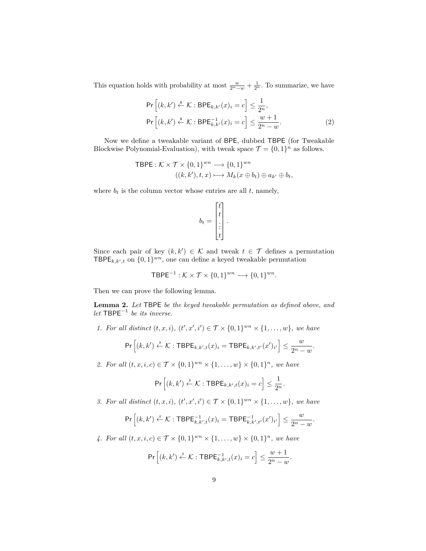This equation holds with probability at most  $\frac{w}{2^n - w} + \frac{1}{2^n}$ . To summarize, we have

$$
\Pr\left[(k, k') \stackrel{\$}{\leftarrow} \mathcal{K} : \mathsf{BPE}_{k, k'}(x)_i = c\right] \le \frac{1}{2^n},
$$
\n
$$
\Pr\left[(k, k') \stackrel{\$}{\leftarrow} \mathcal{K} : \mathsf{BPE}_{k, k'}^{-1}(x)_i = c\right] \le \frac{w+1}{2^n - w}.
$$
\n(2)

Now we define a tweakable variant of BPE, dubbed TBPE (for Tweakable Blockwise Polynomial-Evaluation), with tweak space  $\mathcal{T} = \{0, 1\}^n$  as follows.

$$
\begin{aligned} \mathsf{TBPE}: \mathcal{K} \times \mathcal{T} \times \{0, 1\}^{wn} &\longrightarrow \{0, 1\}^{wn} \\ ((k, k'), t, x) &\longmapsto M_k(x \oplus b_t) \oplus a_{k'} \oplus b_t, \end{aligned}
$$

where  $b_t$  is the column vector whose entries are all  $t$ , namely,

$$
b_t = \begin{bmatrix} t \\ t \\ \vdots \\ t \end{bmatrix}.
$$

Since each pair of key  $(k, k') \in \mathcal{K}$  and tweak  $t \in \mathcal{T}$  defines a permutation TBPE<sub>k,k',t</sub> on  $\{0,1\}^{wn}$ , one can define a keyed tweakable permutation

<span id="page-8-0"></span>
$$
\mathsf{TBPE}^{-1} : \mathcal{K} \times \mathcal{T} \times \{0,1\}^{wn} \longrightarrow \{0,1\}^{wn}.
$$

Then we can prove the following lemma.

**Lemma 2.** *Let* TBPE *be the keyed tweakable permutation as defined above, and let* TBPE<sup>−</sup><sup>1</sup> *be its inverse.*

*1.* For all distinct  $(t, x, i)$ ,  $(t', x', i') \in \mathcal{T} \times \{0, 1\}^{wn} \times \{1, \ldots, w\}$ , we have

$$
\Pr\left[(k,k') \stackrel{s}{\leftarrow} \mathcal{K} : \mathsf{TBPE}_{k,k',t}(x)_i = \mathsf{TBPE}_{k,k',t'}(x')_{i'}\right] \le \frac{w}{2^n - w}
$$

*.*

*.*

*.*

*2. For all*  $(t, x, i, c) \in T \times \{0, 1\}^{wn} \times \{1, ..., w\} \times \{0, 1\}^n$ , we have

$$
\Pr\left[(k,k') \stackrel{s}{\leftarrow} \mathcal{K} : \mathsf{TBPE}_{k,k',t}(x)_i = c\right] \leq \frac{1}{2^n}.
$$

*3.* For all distinct  $(t, x, i)$ ,  $(t', x', i') \in \mathcal{T} \times \{0, 1\}^{wn} \times \{1, \ldots, w\}$ , we have

$$
\Pr\left[(k,k') \stackrel{s}{\leftarrow} \mathcal{K} : \mathsf{TBPE}_{k,k',t}^{-1}(x)_i = \mathsf{TBPE}_{k,k',t'}^{-1}(x')_{i'}\right] \le \frac{w}{2^n - w}
$$

*4. For all*  $(t, x, i, c) \in T \times \{0, 1\}^{wn} \times \{1, ..., w\} \times \{0, 1\}^n$ , we have

$$
\Pr\left[(k,k') \stackrel{s}{\leftarrow} \mathcal{K} : \mathsf{TBPE}_{k,k',t}^{-1}(x)_i = c\right] \le \frac{w+1}{2^n - w}
$$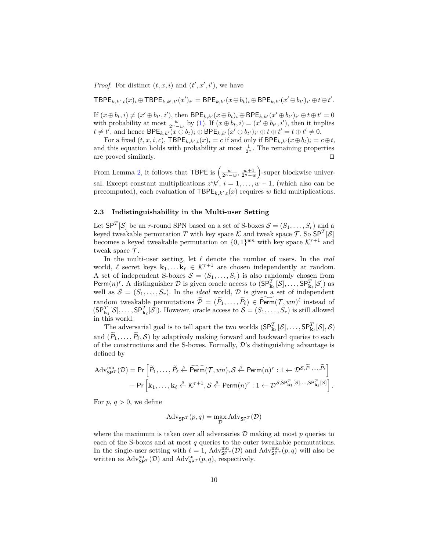*Proof.* For distinct  $(t, x, i)$  and  $(t', x', i')$ , we have

 $\mathsf{TBPE}_{k,k',t}(x)_i \oplus \mathsf{TBPE}_{k,k',t'}(x')_{i'} = \mathsf{BPE}_{k,k'}(x \oplus b_t)_i \oplus \mathsf{BPE}_{k,k'}(x' \oplus b_{t'})_{i'} \oplus t \oplus t'.$ 

If  $(x \oplus b_t, i) \neq (x' \oplus b_{t'}, i')$ , then  $\mathsf{BPE}_{k,k'}(x \oplus b_t)_i \oplus \mathsf{BPE}_{k,k'}(x' \oplus b_{t'})_{i'} \oplus t \oplus t' = 0$ with probability at most  $\frac{w}{2^n-w}$  by [\(1\)](#page-7-0). If  $(x \oplus b_t, i) = (x' \oplus b_{t'}, i')$ , then it implies  $t \neq t'$ , and hence  $BPE_{k,k'}(x \oplus b_t)_i \oplus BPE_{k,k'}(x' \oplus b_{t'})_{i'} \oplus t \oplus t' = t \oplus t' \neq 0$ .

For a fixed  $(t, x, i, c)$ , TBPE<sub>*k*,k',t</sub> $(x)_i = c$  if and only if BPE<sub>*k*,k'</sub> $(x \oplus b_t)_i = c \oplus t$ , and this equation holds with probability at most  $\frac{1}{2^n}$ . The remaining properties are proved similarly.  $\Box$ 

From Lemma [2,](#page-8-0) it follows that TBPE is  $\left(\frac{w}{2^n-w}, \frac{w+1}{2^n-w}\right)$ -super blockwise universal. Except constant multiplications  $z^{i}k'$ ,  $i = 1, ..., w - 1$ , (which also can be precomputed), each evaluation of  $\mathsf{TBPE}_{k,k',t}(x)$  requires *w* field multiplications.

## **2.3 Indistinguishability in the Multi-user Setting**

Let  $\mathsf{SP}^T[\mathcal{S}]$  be an *r*-round SPN based on a set of S-boxes  $\mathcal{S} = (S_1, \ldots, S_r)$  and a keyed tweakable permutation *T* with key space  $\mathcal K$  and tweak space  $\mathcal T$ . So  $\mathsf{SP}^T[\mathcal S]$ becomes a keyed tweakable permutation on  $\{0,1\}^{wn}$  with key space  $\mathcal{K}^{r+1}$  and tweak space  $\mathcal{T}$ .

In the multi-user setting, let  $\ell$  denote the number of users. In the *real* world,  $\ell$  secret keys  $\mathbf{k}_1, \ldots, \mathbf{k}_\ell \in \mathcal{K}^{r+1}$  are chosen independently at random. A set of independent S-boxes  $S = (S_1, \ldots, S_r)$  is also randomly chosen from Perm $(n)^r$ . A distinguisher  $D$  is given oracle access to  $(SP_{\mathbf{k}_1}^T[\mathcal{S}], \ldots, SP_{\mathbf{k}_\ell}^T[\mathcal{S}])$  as well as  $S = (S_1, \ldots, S_r)$ . In the *ideal* world, D is given a set of independent random tweakable permutations  $\widetilde{\mathcal{P}} = (\widetilde{P}_1, \ldots, \widetilde{P}_\ell) \in \widetilde{\text{Perm}}(\mathcal{T}, wn)^\ell$  instead of  $(SP_{\mathbf{k}_1}^T[\mathcal{S}], \ldots, SP_{\mathbf{k}_\ell}^T[\mathcal{S}])$ . However, oracle access to  $\mathcal{S} = (S_1, \ldots, S_r)$  is still allowed in this world.

The adversarial goal is to tell apart the two worlds  $(SP_{\mathbf{k}_1}^T[\mathcal{S}], \ldots, SP_{\mathbf{k}_\ell}^T[\mathcal{S}], \mathcal{S})$ and  $(\widetilde{P}_1, \ldots, \widetilde{P}_\ell, \mathcal{S})$  by adaptively making forward and backward queries to each of the constructions and the S-boxes. Formally,  $\mathcal{D}$ 's distinguishing advantage is defined by

$$
\operatorname{Adv}_{\mathsf{SP}^T}^{\mathrm{mu}}(\mathcal{D}) = \Pr\left[\widetilde{P}_1, \ldots, \widetilde{P}_\ell \stackrel{\$}{\leftarrow} \widetilde{\mathsf{Perm}}(\mathcal{T}, wn), \mathcal{S} \stackrel{\$}{\leftarrow} \mathsf{Perm}(n)^r : 1 \leftarrow \mathcal{D}^{\mathcal{S}, \widetilde{P}_1, \ldots, \widetilde{P}_\ell}\right] \\
- \Pr\left[\mathbf{k}_1, \ldots, \mathbf{k}_\ell \stackrel{\$}{\leftarrow} \mathcal{K}^{r+1}, \mathcal{S} \stackrel{\$}{\leftarrow} \mathsf{Perm}(n)^r : 1 \leftarrow \mathcal{D}^{\mathcal{S}, \mathsf{SP}^T_{\mathbf{k}_1}[S], \ldots, \mathsf{SP}^T_{\mathbf{k}_\ell}[S]}\right].
$$

For  $p, q > 0$ , we define

$$
Adv_{\mathsf{SP}^T}(p,q) = \max_{\mathcal{D}} Adv_{\mathsf{SP}^T}(\mathcal{D})
$$

where the maximum is taken over all adversaries  $\mathcal D$  making at most  $p$  queries to each of the S-boxes and at most *q* queries to the outer tweakable permutations. In the single-user setting with  $\ell = 1$ ,  $Adv_{\mathsf{SP}^T}^{\mathsf{nu}}(\mathcal{D})$  and  $Adv_{\mathsf{SP}^T}^{\mathsf{nu}}(p, q)$  will also be written as  $\mathrm{Adv}_{\mathsf{SP}^T}^{\mathrm{su}}(\mathcal{D})$  and  $\mathrm{Adv}_{\mathsf{SP}^T}^{\mathrm{su}}(p,q)$ , respectively.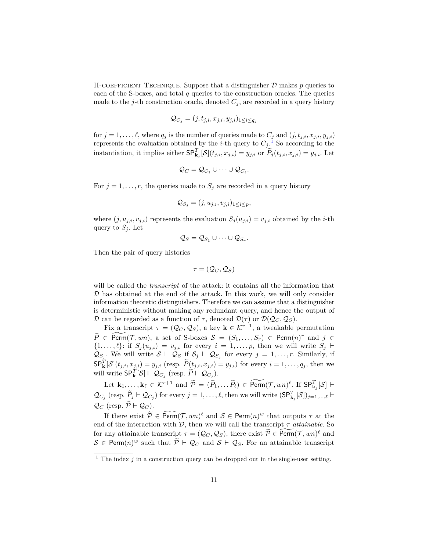H-COEFFICIENT TECHNIQUE. Suppose that a distinguisher  $D$  makes  $p$  queries to each of the S-boxes, and total *q* queries to the construction oracles. The queries made to the *j*-th construction oracle, denoted  $C_j$ , are recorded in a query history

$$
\mathcal{Q}_{C_j} = (j, t_{j,i}, x_{j,i}, y_{j,i})_{1 \leq i \leq q_j}
$$

for  $j = 1, \ldots, \ell$ , where  $q_j$  is the number of queries made to  $C_j$  and  $(j, t_{j,i}, x_{j,i}, y_{j,i})$ represents the evaluation obtained by the *i*-th query to  $C_j$ .<sup>[1](#page-10-0)</sup> So according to the instantiation, it implies either  $SP_{\mathbf{k}_j}^T[\mathcal{S}](t_{j,i}, x_{j,i}) = y_{j,i}$  or  $\widetilde{P}_j(t_{j,i}, x_{j,i}) = y_{j,i}$ . Let

$$
\mathcal{Q}_C=\mathcal{Q}_{C_1}\cup\cdots\cup\mathcal{Q}_{C_\ell}.
$$

For  $j = 1, \ldots, r$ , the queries made to  $S_j$  are recorded in a query history

$$
\mathcal{Q}_{S_j} = (j, u_{j,i}, v_{j,i})_{1 \leq i \leq p},
$$

where  $(j, u_{j,i}, v_{j,i})$  represents the evaluation  $S_j(u_{j,i}) = v_{j,i}$  obtained by the *i*-th query to  $S_i$ . Let

$$
\mathcal{Q}_S = \mathcal{Q}_{S_1} \cup \cdots \cup \mathcal{Q}_{S_r}.
$$

Then the pair of query histories

$$
\tau=(\mathcal{Q}_C,\mathcal{Q}_S)
$$

will be called the *transcript* of the attack: it contains all the information that  $D$  has obtained at the end of the attack. In this work, we will only consider information theoretic distinguishers. Therefore we can assume that a distinguisher is deterministic without making any redundant query, and hence the output of D can be regarded as a function of  $\tau$ , denoted  $\mathcal{D}(\tau)$  or  $\mathcal{D}(\mathcal{Q}_C, \mathcal{Q}_S)$ .

Fix a transcript  $\tau = (Q_C, Q_S)$ , a key  $\mathbf{k} \in \mathcal{K}^{r+1}$ , a tweakable permutation  $\widetilde{P} \in \widetilde{\text{Perm}}(T, wn)$ , a set of S-boxes  $S = (S_1, \ldots, S_r) \in \text{Perm}(n)^r$  and  $j \in$  $\{1, \ldots, \ell\}$ : if  $S_j(u_{j,i}) = v_{j,i}$  for every  $i = 1, \ldots, p$ , then we will write  $S_j \vdash$  $\mathcal{Q}_{S_j}$ . We will write  $S \vdash \mathcal{Q}_S$  if  $S_j \vdash \mathcal{Q}_{S_j}$  for every  $j = 1, \ldots, r$ . Similarly, if  $\mathsf{SP}_{\mathbf{k}}^T[\mathcal{S}](t_{j,i}, x_{j,i}) = y_{j,i}$  (resp.  $\widetilde{P}(t_{j,i}, x_{j,i}) = y_{j,i}$ ) for every  $i = 1, \ldots, q_j$ , then we will write  $\mathsf{SP}_{\mathbf{k}}^T[\mathcal{S}] \vdash \mathcal{Q}_{C_j}$  (resp.  $\widetilde{P} \vdash \mathcal{Q}_{C_j}$ ).

Let  $\mathbf{k}_1, \ldots, \mathbf{k}_\ell \in \mathcal{K}^{r+1}$  and  $\widetilde{\mathcal{P}} = (\widetilde{P}_1, \ldots, \widetilde{P}_\ell) \in \widetilde{\text{Perm}}(\mathcal{T}, wn)^\ell$ . If  $\text{SP}_{\mathbf{k}_j}^T[\mathcal{S}] \vdash$  $\mathcal{Q}_{C_j}$  (resp.  $\widetilde{P}_j \vdash \mathcal{Q}_{C_j}$ ) for every  $j = 1, \ldots, \ell$ , then we will write  $(\mathsf{SP}^T_{\mathbf{k}_j}[\mathcal{S}])_{j=1,\ldots,\ell}$  $\mathcal{Q}_C$  (resp.  $\widetilde{\mathcal{P}} \vdash \mathcal{Q}_C$ ).

If there exist  $\widetilde{\mathcal{P}} \in \widetilde{\text{Perm}}(\mathcal{T}, wn)^{\ell}$  and  $\mathcal{S} \in \text{Perm}(n)^{w}$  that outputs  $\tau$  at the end of the interaction with  $D$ , then we will call the transcript  $\tau$  *attainable*. So for any attainable transcript  $\tau = (Q_C, Q_S)$ , there exist  $\widetilde{\mathcal{P}} \in \widetilde{\text{Perm}}(\mathcal{T}, wn)^{\ell}$  and  $S \in \text{Perm}(n)^w$  such that  $\widetilde{\mathcal{P}} \vdash \mathcal{Q}_C$  and  $S \vdash \mathcal{Q}_S$ . For an attainable transcript

<span id="page-10-0"></span><sup>&</sup>lt;sup>1</sup> The index  $j$  in a construction query can be dropped out in the single-user setting.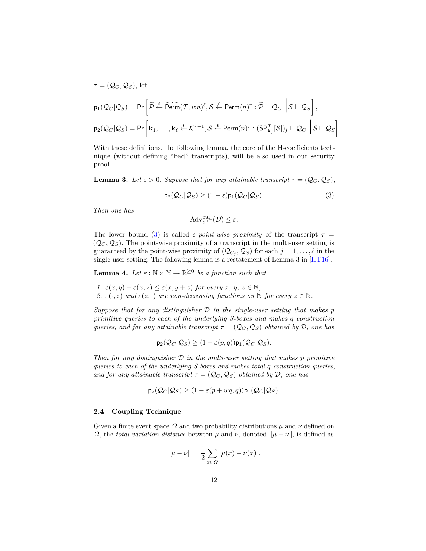$$
\tau = (\mathcal{Q}_C, \mathcal{Q}_S), \text{ let}
$$
\n
$$
p_1(\mathcal{Q}_C|\mathcal{Q}_S) = \Pr\left[\widetilde{\mathcal{P}} \stackrel{\text{s}}{\leftarrow} \widetilde{\text{Perm}}(\mathcal{T}, wn)^{\ell}, \mathcal{S} \stackrel{\text{s}}{\leftarrow} \text{Perm}(n)^r : \widetilde{\mathcal{P}} \vdash \mathcal{Q}_C \middle| \mathcal{S} \vdash \mathcal{Q}_S\right],
$$
\n
$$
p_2(\mathcal{Q}_C|\mathcal{Q}_S) = \Pr\left[\mathbf{k}_1, \dots, \mathbf{k}_{\ell} \stackrel{\text{s}}{\leftarrow} \mathcal{K}^{r+1}, \mathcal{S} \stackrel{\text{s}}{\leftarrow} \text{Perm}(n)^r : (\mathsf{SP}_{\mathbf{k}_j}^T[\mathcal{S}])_j \vdash \mathcal{Q}_C \middle| \mathcal{S} \vdash \mathcal{Q}_S\right]\right]
$$

With these definitions, the following lemma, the core of the H-coefficients technique (without defining "bad" transcripts), will be also used in our security proof.

<span id="page-11-1"></span>**Lemma 3.** Let  $\varepsilon > 0$ . Suppose that for any attainable transcript  $\tau = (Q_C, Q_S)$ ,

<span id="page-11-0"></span>
$$
\mathsf{p}_2(\mathcal{Q}_C|\mathcal{Q}_S) \ge (1-\varepsilon)\mathsf{p}_1(\mathcal{Q}_C|\mathcal{Q}_S). \tag{3}
$$

<span id="page-11-2"></span>*.*

*Then one has*

 $\mathrm{Adv}_{\mathsf{SPT}}^{\mathrm{mu}}(\mathcal{D}) \leq \varepsilon.$ 

The lower bound [\(3\)](#page-11-0) is called *ε-point-wise proximity* of the transcript  $\tau$  =  $(Q_C, Q_S)$ . The point-wise proximity of a transcript in the multi-user setting is guaranteed by the point-wise proximity of  $(Q_{C_j}, Q_S)$  for each  $j = 1, \ldots, \ell$  in the single-user setting. The following lemma is a restatement of Lemma 3 in [\[HT16\]](#page-26-4).

**Lemma 4.** Let  $\varepsilon : \mathbb{N} \times \mathbb{N} \to \mathbb{R}^{\geq 0}$  be a function such that

*1.*  $\varepsilon(x, y) + \varepsilon(x, z) \leq \varepsilon(x, y + z)$  *for every x*, *y*,  $z \in \mathbb{N}$ , *2.*  $\varepsilon(\cdot, z)$  *and*  $\varepsilon(z, \cdot)$  *are non-decreasing functions on* N *for every*  $z \in \mathbb{N}$ *.* 

*Suppose that for any distinguisher* D *in the single-user setting that makes p primitive queries to each of the underlying S-boxes and makes q construction queries, and for any attainable transcript*  $\tau = (Q_C, Q_S)$  *obtained by* D, one has

$$
\mathsf{p}_2(\mathcal{Q}_C|\mathcal{Q}_S) \ge (1 - \varepsilon(p,q))\mathsf{p}_1(\mathcal{Q}_C|\mathcal{Q}_S).
$$

*Then for any distinguisher* D *in the multi-user setting that makes p primitive queries to each of the underlying S-boxes and makes total q construction queries, and for any attainable transcript*  $\tau = (Q_C, Q_S)$  *obtained by* D, *one has* 

$$
\mathsf{p}_2(\mathcal{Q}_C|\mathcal{Q}_S) \ge (1 - \varepsilon (p + wq, q)) \mathsf{p}_1(\mathcal{Q}_C|\mathcal{Q}_S).
$$

## **2.4 Coupling Technique**

Given a finite event space  $\Omega$  and two probability distributions  $\mu$  and  $\nu$  defined on *Ω*, the *total variation distance* between  $\mu$  and  $\nu$ , denoted  $\|\mu - \nu\|$ , is defined as

$$
\|\mu - \nu\| = \frac{1}{2} \sum_{x \in \Omega} |\mu(x) - \nu(x)|.
$$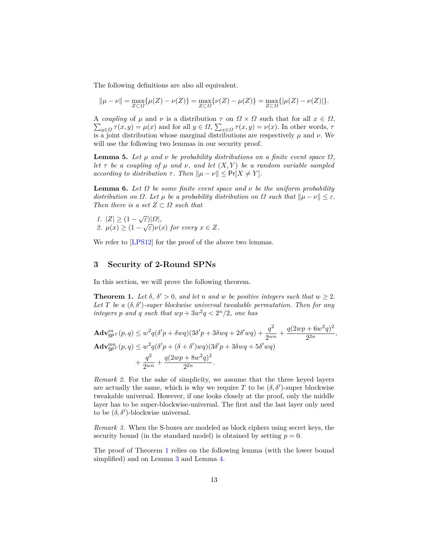The following definitions are also all equivalent.

<span id="page-12-3"></span>
$$
\|\mu - \nu\| = \max_{Z \subset \Omega} {\{\mu(Z) - \nu(Z)\}} = \max_{Z \subset \Omega} {\{\nu(Z) - \mu(Z)\}} = \max_{Z \subset \Omega} {\{\mu(Z) - \nu(Z)\}}.
$$

A coupling of  $\mu$  and  $\nu$  is a distribution  $\tau$  on  $\Omega \times \Omega$  such that for all  $x \in \Omega$ ,  $\sum_{y \in \Omega} \tau(x, y) = \mu(x)$  and for all  $y \in \Omega$ ,  $\sum_{x \in \Omega} \tau(x, y) = \nu(x)$ . In other words,  $\tau$ is a joint distribution whose marginal distributions are respectively *µ* and *ν*. We will use the following two lemmas in our security proof.

**Lemma 5.** Let  $\mu$  and  $\nu$  be probability distributions on a finite event space  $\Omega$ , *let*  $\tau$  *be a coupling of*  $\mu$  *and*  $\nu$ *, and let*  $(X, Y)$  *be a random variable sampled according to distribution*  $\tau$ *. Then*  $\|\mu - \nu\| \leq \Pr[X \neq Y]$ *.* 

<span id="page-12-2"></span>**Lemma 6.** Let  $\Omega$  be some finite event space and  $\nu$  be the uniform probability *distribution on Ω. Let*  $\mu$  *be a probability distribution on Ω such that*  $\|\mu - \nu\| \leq \varepsilon$ *. Then there is a set*  $Z \subset \Omega$  *such that* 

*1*.  $|Z| \geq (1 - \sqrt{\varepsilon})|\Omega|$ , *2.*  $\mu(x) \geq (1 - \sqrt{\varepsilon})\nu(x)$  for every  $x \in Z$ .

We refer to [\[LPS12\]](#page-26-13) for the proof of the above two lemmas.

## **3 Security of 2-Round SPNs**

<span id="page-12-0"></span>In this section, we will prove the following theorem.

**Theorem 1.** Let  $\delta$ ,  $\delta' > 0$ , and let *n* and *w* be positive integers such that  $w \geq 2$ . Let  $T$  be a  $(\delta, \delta')$ -super blockwise universal tweakable permutation. Then for any *integers p* and *q such that*  $wp + 3w^2q < 2^n/2$ , one has

$$
\mathbf{Adv}_{\mathsf{SP}^{T}}^{\text{su}}(p,q) \leq w^{2}q(\delta'p + \delta wq)(3\delta'p + 3\delta wq + 2\delta' wq) + \frac{q^{2}}{2^{wn}} + \frac{q(2wp + 6w^{2}q)^{2}}{2^{2n}} \n\mathbf{Adv}_{\mathsf{SP}^{T}}^{\text{su}}(p,q) \leq w^{2}q(\delta'p + (\delta + \delta')wq)(3\delta'p + 3\delta wq + 5\delta' wq) \n+ \frac{q^{2}}{2^{wn}} + \frac{q(2wp + 8w^{2}q)^{2}}{2^{2n}}.
$$

*,*

*Remark 2.* For the sake of simplicity, we assume that the three keyed layers are actually the same, which is why we require  $T$  to be  $(\delta, \delta')$ -super blockwise tweakable universal. However, if one looks closely at the proof, only the middle layer has to be super-blockwise-universal. The first and the last layer only need to be  $(\delta, \delta')$ -blockwise universal.

*Remark 3.* When the S-boxes are modeled as block ciphers using secret keys, the security bound (in the standard model) is obtained by setting  $p = 0$ .

<span id="page-12-1"></span>The proof of Theorem [1](#page-12-0) relies on the following lemma (with the lower bound simplified) and on Lemma [3](#page-11-1) and Lemma [4.](#page-11-2)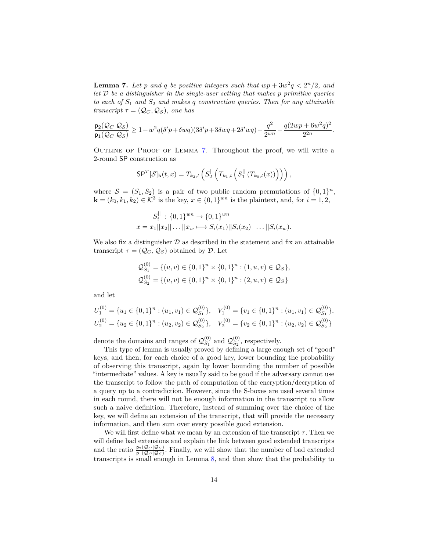**Lemma 7.** Let p and q be positive integers such that  $wp + 3w^2q < 2^n/2$ , and *let* D *be a distinguisher in the single-user setting that makes p primitive queries to each of S*<sup>1</sup> *and S*<sup>2</sup> *and makes q construction queries. Then for any attainable transcript*  $\tau = (Q_C, Q_S)$ *, one has* 

$$
\frac{\mathsf{p}_2(\mathcal{Q}_C|\mathcal{Q}_S)}{\mathsf{p}_1(\mathcal{Q}_C|\mathcal{Q}_S)} \geq 1 - w^2 q (\delta' p + \delta w q) (3 \delta' p + 3 \delta w q + 2 \delta' w q) - \frac{q^2}{2^{wn}} - \frac{q(2wp + 6w^2q)^2}{2^{2n}}.
$$

Outline of Proof of Lemma [7.](#page-12-1) Throughout the proof, we will write a 2-round SP construction as

$$
\mathsf{SP}^T[\mathcal{S}]_{\mathbf{k}}(t,x) = T_{k_2,t}\left(S_2^{\parallel}\left(T_{k_1,t}\left(S_1^{\parallel}\left(T_{k_0,t}(x)\right)\right)\right)\right),\,
$$

where  $S = (S_1, S_2)$  is a pair of two public random permutations of  $\{0, 1\}^n$ ,  $\mathbf{k} = (k_0, k_1, k_2) \in \mathcal{K}^3$  is the key,  $x \in \{0, 1\}^{wn}$  is the plaintext, and, for  $i = 1, 2$ ,

$$
S_i^{||} : \{0,1\}^{wn} \to \{0,1\}^{wn}
$$
  

$$
x = x_1||x_2|| \dots ||x_w \longmapsto S_i(x_1)||S_i(x_2)|| \dots ||S_i(x_w).
$$

We also fix a distinguisher  $\mathcal D$  as described in the statement and fix an attainable transcript  $\tau = (Q_C, Q_S)$  obtained by D. Let

$$
Q_{S_1}^{(0)} = \{(u, v) \in \{0, 1\}^n \times \{0, 1\}^n : (1, u, v) \in \mathcal{Q}_S\},
$$
  

$$
Q_{S_2}^{(0)} = \{(u, v) \in \{0, 1\}^n \times \{0, 1\}^n : (2, u, v) \in \mathcal{Q}_S\}
$$

and let

$$
U_1^{(0)} = \{u_1 \in \{0, 1\}^n : (u_1, v_1) \in \mathcal{Q}_{S_1}^{(0)}\}, \quad V_1^{(0)} = \{v_1 \in \{0, 1\}^n : (u_1, v_1) \in \mathcal{Q}_{S_1}^{(0)}\},
$$
  

$$
U_2^{(0)} = \{u_2 \in \{0, 1\}^n : (u_2, v_2) \in \mathcal{Q}_{S_2}^{(0)}\}, \quad V_2^{(0)} = \{v_2 \in \{0, 1\}^n : (u_2, v_2) \in \mathcal{Q}_{S_2}^{(0)}\}
$$

denote the domains and ranges of  $\mathcal{Q}_{S_1}^{(0)}$  $S_1^{(0)}$  and  $\mathcal{Q}_{S_2}^{(0)}$  $S_2^{(0)}$ , respectively.

This type of lemma is usually proved by defining a large enough set of "good" keys, and then, for each choice of a good key, lower bounding the probability of observing this transcript, again by lower bounding the number of possible "intermediate" values. A key is usually said to be good if the adversary cannot use the transcript to follow the path of computation of the encryption/decryption of a query up to a contradiction. However, since the S-boxes are used several times in each round, there will not be enough information in the transcript to allow such a naive definition. Therefore, instead of summing over the choice of the key, we will define an extension of the transcript, that will provide the necessary information, and then sum over every possible good extension.

We will first define what we mean by an extension of the transcript  $\tau$ . Then we will define bad extensions and explain the link between good extended transcripts and the ratio  $\frac{p_2(Q_C |Q_S)}{p_1(Q_C |Q_S)}$ . Finally, we will show that the number of bad extended transcripts is small enough in Lemma [8,](#page-17-0) and then show that the probability to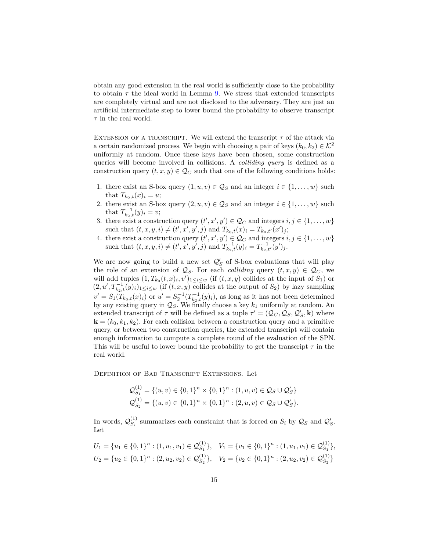obtain any good extension in the real world is sufficiently close to the probability to obtain  $\tau$  the ideal world in Lemma [9.](#page-19-0) We stress that extended transcripts are completely virtual and are not disclosed to the adversary. They are just an artificial intermediate step to lower bound the probability to observe transcript  $\tau$  in the real world.

EXTENSION OF A TRANSCRIPT. We will extend the transcript  $\tau$  of the attack via a certain randomized process. We begin with choosing a pair of keys  $(k_0, k_2) \in \mathcal{K}^2$ uniformly at random. Once these keys have been chosen, some construction queries will become involved in collisions. A *colliding query* is defined as a construction query  $(t, x, y) \in \mathcal{Q}_C$  such that one of the following conditions holds:

- 1. there exist an S-box query  $(1, u, v) \in \mathcal{Q}_S$  and an integer  $i \in \{1, ..., w\}$  such that  $T_{k_0,t}(x)_i = u;$
- 2. there exist an S-box query  $(2, u, v) \in \mathcal{Q}_S$  and an integer  $i \in \{1, \ldots, w\}$  such that  $T_{k_2,t}^{-1}(y)_i = v;$
- 3. there exist a construction query  $(t', x', y') \in \mathcal{Q}_C$  and integers  $i, j \in \{1, \ldots, w\}$ such that  $(t, x, y, i) \neq (t', x', y', j)$  and  $T_{k_0,t}(x)_i = T_{k_0,t'}(x')_j$ ;
- 4. there exist a construction query  $(t', x', y') \in \mathcal{Q}_C$  and integers  $i, j \in \{1, ..., w\}$ such that  $(t, x, y, i) \neq (t', x', y', j)$  and  $T_{k_2,t}^{-1}(y)_i = T_{k_2,t'}^{-1}(y')_j$ .

We are now going to build a new set  $\mathcal{Q}'_S$  of S-box evaluations that will play the role of an extension of  $\mathcal{Q}_S$ . For each *colliding* query  $(t, x, y) \in \mathcal{Q}_C$ , we will add tuples  $(1, T_{k_0}(t, x)_i, v')_{1 \leq i \leq w}$  (if  $(t, x, y)$  collides at the input of  $S_1$ ) or  $(2, u', T_{k_2,t}(y)_i)_{1 \leq i \leq w}$  (if  $(t, x, y)$  collides at the output of  $S_2$ ) by lazy sampling  $v' = S_1(T_{k_0,t}(x)_i)$  or  $u' = S_2^{-1}(T_{k_2,t}^{-1}(y)_i)$ , as long as it has not been determined by any existing query in  $\mathcal{Q}_S$ . We finally choose a key  $k_1$  uniformly at random. An extended transcript of  $\tau$  will be defined as a tuple  $\tau' = (Q_C, Q_S, Q_S', \mathbf{k})$  where  $\mathbf{k} = (k_0, k_1, k_2)$ . For each collision between a construction query and a primitive query, or between two construction queries, the extended transcript will contain enough information to compute a complete round of the evaluation of the SPN. This will be useful to lower bound the probability to get the transcript  $\tau$  in the real world.

Definition of Bad Transcript Extensions. Let

$$
Q_{S_1}^{(1)} = \{(u, v) \in \{0, 1\}^n \times \{0, 1\}^n : (1, u, v) \in Q_S \cup Q'_S\}
$$
  

$$
Q_{S_2}^{(1)} = \{(u, v) \in \{0, 1\}^n \times \{0, 1\}^n : (2, u, v) \in Q_S \cup Q'_S\}.
$$

In words,  $\mathcal{Q}_S^{(1)}$  $S_i$  summarizes each constraint that is forced on  $S_i$  by  $\mathcal{Q}_S$  and  $\mathcal{Q}'_S$ . Let

$$
U_1 = \{u_1 \in \{0, 1\}^n : (1, u_1, v_1) \in \mathcal{Q}_{S_1}^{(1)}\}, \quad V_1 = \{v_1 \in \{0, 1\}^n : (1, u_1, v_1) \in \mathcal{Q}_{S_1}^{(1)}\},
$$
  

$$
U_2 = \{u_2 \in \{0, 1\}^n : (2, u_2, v_2) \in \mathcal{Q}_{S_2}^{(1)}\}, \quad V_2 = \{v_2 \in \{0, 1\}^n : (2, u_2, v_2) \in \mathcal{Q}_{S_2}^{(1)}\}
$$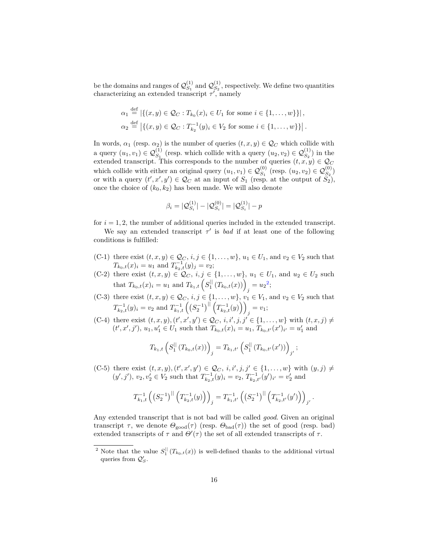be the domains and ranges of  $\mathcal{Q}_{S_1}^{(1)}$  $S_1^{(1)}$  and  $\mathcal{Q}_{S_2}^{(1)}$  $S_2^{(1)}$ , respectively. We define two quantities characterizing an extended transcript  $\tau'$ , namely

$$
\alpha_1 \stackrel{\text{def}}{=} |\{(x,y) \in \mathcal{Q}_C : T_{k_0}(x)_i \in U_1 \text{ for some } i \in \{1,\ldots,w\}\}|,
$$
  

$$
\alpha_2 \stackrel{\text{def}}{=} |\{(x,y) \in \mathcal{Q}_C : T_{k_2}^{-1}(y)_i \in V_2 \text{ for some } i \in \{1,\ldots,w\}\}|.
$$

In words,  $\alpha_1$  (resp.  $\alpha_2$ ) is the number of queries  $(t, x, y) \in \mathcal{Q}_C$  which collide with a query  $(u_1, v_1) \in \mathcal{Q}_{S_1}^{(1)}$  (resp. which collide with a query  $(u_2, v_2) \in \mathcal{Q}_{S_2}^{(1)}$ ) in the extended transcript. This corresponds to the number of queries  $(t, x, y) \in \mathcal{Q}_C$ which collide with either an original query  $(u_1, v_1) \in \mathcal{Q}_{S_1}^{(0)}$  (resp.  $(u_2, v_2) \in \mathcal{Q}_{S_2}^{(0)}$ ) or with a query  $(t', x', y') \in \mathcal{Q}_C$  at an input of  $S_1$  (resp. at the output of  $\tilde{S}_2$ ), once the choice of  $(k_0, k_2)$  has been made. We will also denote

$$
\beta_i = |Q_{S_i}^{(1)}| - |Q_{S_i}^{(0)}| = |Q_{S_i}^{(1)}| - p
$$

for  $i = 1, 2$ , the number of additional queries included in the extended transcript.

We say an extended transcript  $\tau'$  is *bad* if at least one of the following conditions is fulfilled:

- (C-1) there exist  $(t, x, y) \in \mathcal{Q}_C$ ,  $i, j \in \{1, ..., w\}$ ,  $u_1 \in U_1$ , and  $v_2 \in V_2$  such that  $T_{k_0,t}(x)_i = u_1$  and  $T_{k_2,t}(y)_j = v_2$ ;
- (C-2) there exist  $(t, x, y) \in \mathcal{Q}_C$ ,  $i, j \in \{1, ..., w\}$ ,  $u_1 \in U_1$ , and  $u_2 \in U_2$  such that  $T_{k_0,t}(x)_i = u_1$  and  $T_{k_1,t}\left(S_1^{||}(T_{k_0,t}(x))\right)_j = u_2^2;$  $T_{k_1,t}\left(S_1^{||}(T_{k_0,t}(x))\right)_j = u_2^2;$  $T_{k_1,t}\left(S_1^{||}(T_{k_0,t}(x))\right)_j = u_2^2;$
- (C-3) there exist  $(t, x, y) \in \mathcal{Q}_C$ ,  $i, j \in \{1, ..., w\}$ ,  $v_1 \in V_1$ , and  $v_2 \in V_2$  such that  $T_{k_2,t}^{-1}(y)_i = v_2$  and  $T_{k_1,t}^{-1}\left( (S_2^{-1})^{||} (T_{k_2,t}^{-1}(y)) \right)$  $j = v_1;$
- (C−4) there exist  $(t, x, y)$ ,  $(t', x', y') \in \mathcal{Q}_C$ ,  $i, i', j, j' \in \{1, ..., w\}$  with  $(t, x, j) \neq$  $(t', x', j'), u_1, u'_1 \in U_1$  such that  $T_{k_0,t}(x)_i = u_1, T_{k_0,t'}(x')_{i'} = u'_1$  and

$$
T_{k_1,t}\left(S_1^{||}\left(T_{k_0,t}(x)\right)\right)_j = T_{k_1,t'}\left(S_1^{||}\left(T_{k_0,t'}(x')\right)\right)_{j'};
$$

(C−5) there exist  $(t, x, y)$ ,  $(t', x', y')$  ∈  $\mathcal{Q}_C$ ,  $i, i', j, j'$  ∈ {1,..., w} with  $(y, j) \neq$  $(y', j')$ ,  $v_2, v_2' \in V_2$  such that  $T_{k_2,t}^{-1}(y)_i = v_2, T_{k_2,t'}^{-1}(y')_{i'} = v_2'$  and

$$
T_{k_1,t}^{-1}\left(\left(S_2^{-1}\right)^{||}\left(T_{k_2,t}^{-1}(y)\right)\right)_j = T_{k_1,t'}^{-1}\left(\left(S_2^{-1}\right)^{||}\left(T_{k_2,t'}^{-1}(y')\right)\right)_{j'}.
$$

Any extended transcript that is not bad will be called *good*. Given an original transcript *τ*, we denote  $\Theta_{\text{good}}(\tau)$  (resp.  $\Theta_{\text{bad}}(\tau)$ ) the set of good (resp. bad) extended transcripts of  $\tau$  and  $\Theta'(\tau)$  the set of all extended transcripts of  $\tau$ .

<span id="page-15-0"></span><sup>&</sup>lt;sup>2</sup> Note that the value  $S_1^{||}(T_{k_0,t}(x))$  is well-defined thanks to the additional virtual queries from  $\mathcal{Q}'_S$ .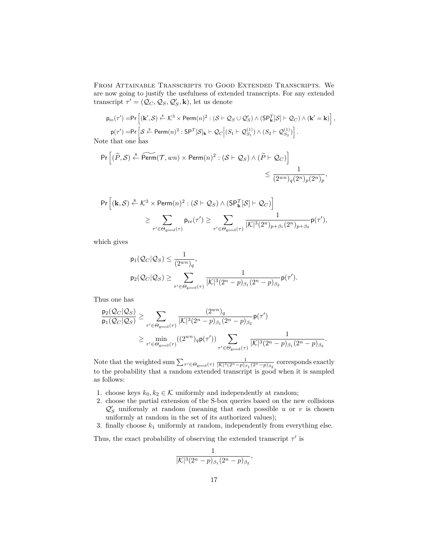From Attainable Transcripts to Good Extended Transcripts. We are now going to justify the usefulness of extended transcripts. For any extended transcript  $\tau' = (\mathcal{Q}_C, \mathcal{Q}_S, \mathcal{Q}'_S, \mathbf{k})$ , let us denote

$$
p_{re}(\tau') = Pr\left[ (\mathbf{k}', \mathcal{S}) \stackrel{\text{s}}{\leftarrow} \mathcal{K}^3 \times \text{Perm}(n)^2 : (\mathcal{S} \vdash \mathcal{Q}_{\mathcal{S}} \cup \mathcal{Q}'_{\mathcal{S}}) \land (\text{SP}_{\mathbf{k}}^T [\mathcal{S}] \vdash \mathcal{Q}_{\mathcal{C}}) \land (\mathbf{k}' = \mathbf{k}) \right],
$$
  
\n
$$
p(\tau') = Pr\left[ \mathcal{S} \stackrel{\text{s}}{\leftarrow} \text{Perm}(n)^2 : \text{SP}^T [\mathcal{S}]_{\mathbf{k}} \vdash \mathcal{Q}_{\mathcal{C}} \middle| (S_1 \vdash \mathcal{Q}'_{S_1}) \land (S_2 \vdash \mathcal{Q}'_{S_2}) \right].
$$
  
\ne that one has

Note that one has

$$
\begin{aligned} \Pr\Big[ (\widetilde{P}, \mathcal{S}) \xleftarrow{\$} \widetilde{\mathsf{Perm}}(\mathcal{T}, w n) \times \mathsf{Perm}(n)^2: (\mathcal{S} \vdash \mathcal{Q}_{\mathcal{S}}) \wedge (\widetilde{P} \vdash \mathcal{Q}_{C}) \Big] \\ & \qquad \qquad \leq \frac{1}{(2^{w n})_q (2^n)_p (2^n)_p}, \end{aligned}
$$

$$
\begin{aligned} \Pr\Big[ (\mathbf{k}, \mathcal{S}) \xleftarrow{\$} & \mathcal{K}^3 \times \text{Perm}(n)^2: (\mathcal{S} \vdash \mathcal{Q}_{\mathcal{S}}) \wedge (\text{SP}^T_{\mathbf{k}}[\mathcal{S}] \vdash \mathcal{Q}_{\mathcal{C}}) \Big] \\ & \geq \sum_{\tau' \in \Theta_{\text{good}(\tau)}} \mathrm{p}_{\text{re}}(\tau') \geq \sum_{\tau' \in \Theta_{\text{good}(\tau)}} \frac{1}{|\mathcal{K}|^3(2^n)_{p+\beta_1}(2^n)_{p+\beta_2}} \mathrm{p}(\tau'), \end{aligned}
$$

which gives

$$
\begin{aligned} &\mathsf{p}_1(\mathcal{Q}_C|\mathcal{Q}_S) \leq \frac{1}{(2^{wn})_q}, \\ &\mathsf{p}_2(\mathcal{Q}_C|\mathcal{Q}_S) \geq \sum_{\tau' \in \Theta_{\text{good}}(\tau)} \frac{1}{|\mathcal{K}|^3 (2^n-p)_{\beta_1} (2^n-p)_{\beta_2}} \mathsf{p}(\tau'). \end{aligned}
$$

Thus one has

$$
\begin{aligned} \frac{\mathsf{p}_2(\mathcal{Q}_C|\mathcal{Q}_S)}{\mathsf{p}_1(\mathcal{Q}_C|\mathcal{Q}_S)} &\geq \sum_{\tau'\in\Theta_{\rm good}(\tau)}\frac{(2^{wn})_q}{|\mathcal{K}|^3(2^n-p)_{\beta_1}(2^n-p)_{\beta_2}}\mathsf{p}(\tau') \\&\geq \min_{\tau'\in\Theta_{\rm good}(\tau)}((2^{wn})_q\mathsf{p}(\tau'))\sum_{\tau'\in\Theta_{\rm good}(\tau)}\frac{1}{|\mathcal{K}|^3(2^n-p)_{\beta_1}(2^n-p)_{\beta_2}}. \end{aligned}
$$

Note that the weighted sum  $\sum_{\tau' \in \Theta_{\text{good}}(\tau)} \frac{1}{|\mathcal{K}|^3 (2^n - p)_{\beta_1} (2^n - p)_{\beta_2}}$  corresponds exactly to the probability that a random extended transcript is good when it is sampled as follows:

- 1. choose keys  $k_0, k_2 \in \mathcal{K}$  uniformly and independently at random;
- 2. choose the partial extension of the S-box queries based on the new collisions  $\mathcal{Q}'_S$  uniformly at random (meaning that each possible *u* or *v* is chosen uniformly at random in the set of its authorized values);
- 3. finally choose  $k_1$  uniformly at random, independently from everything else.

Thus, the exact probability of observing the extended transcript  $\tau'$  is

$$
\frac{1}{|\mathcal{K}|^3(2^n-p)_{\beta_1}(2^n-p)_{\beta_2}},
$$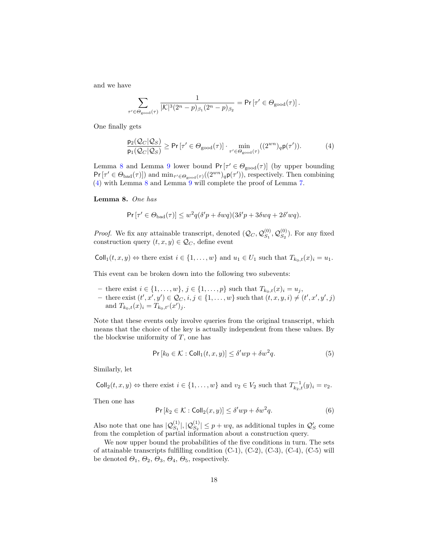and we have

$$
\sum_{\tau' \in \Theta_{\textrm{good}}(\tau)} \frac{1}{|\mathcal{K}|^3 (2^n-p)_{\beta_1} (2^n-p)_{\beta_2}} = \Pr\left[\tau' \in \Theta_{\textrm{good}}(\tau)\right].
$$

One finally gets

<span id="page-17-1"></span>
$$
\frac{\mathsf{p}_2(\mathcal{Q}_C|\mathcal{Q}_S)}{\mathsf{p}_1(\mathcal{Q}_C|\mathcal{Q}_S)} \ge \mathsf{Pr}\left[\tau' \in \Theta_{\text{good}}(\tau)\right] \cdot \min_{\tau' \in \Theta_{\text{good}}(\tau)} ((2^{wn})_q \mathsf{p}(\tau')). \tag{4}
$$

Lemma [8](#page-17-0) and Lemma [9](#page-19-0) lower bound  $Pr[\tau' \in \Theta_{\text{good}}(\tau)]$  (by upper bounding  $Pr[\tau' \in \Theta_{bad}(\tau)]$  and  $min_{\tau' \in \Theta_{good}(\tau)}((2^{wn})_q p(\tau'))$ , respectively. Then combining [\(4\)](#page-17-1) with Lemma [8](#page-17-0) and Lemma [9](#page-19-0) will complete the proof of Lemma [7.](#page-12-1)

<span id="page-17-0"></span>**Lemma 8.** *One has*

$$
\Pr\left[\tau' \in \Theta_{\text{bad}}(\tau)\right] \leq w^2 q (\delta' p + \delta w q) (3 \delta' p + 3 \delta w q + 2 \delta' w q).
$$

*Proof.* We fix any attainable transcript, denoted  $(Q_C, Q_{S_1}^{(0)})$  $\overset{(0)}{S_1}, \mathcal{Q}_{S_2}^{(0)}$  $S_2^{(0)}$ ). For any fixed construction query  $(t, x, y) \in \mathcal{Q}_C$ , define event

 $\text{Coll}_1(t, x, y) \Leftrightarrow$  there exist  $i \in \{1, \ldots, w\}$  and  $u_1 \in U_1$  such that  $T_{k_0,t}(x)_i = u_1$ .

This event can be broken down into the following two subevents:

- *−* there exist *i* ∈ {1, . . . , *w*}, *j* ∈ {1, . . . , *p*} such that  $T_{k_0,t}(x)$ <sub>*i*</sub> = *u<sub>j</sub>*,
- $-$  there exist  $(t', x', y') \in \mathcal{Q}_C, i, j \in \{1, ..., w\}$  such that  $(t, x, y, i) \neq (t', x', y', j)$ and  $T_{k_0,t}(x)_i = T_{k_0,t'}(x')_j$ .

Note that these events only involve queries from the original transcript, which means that the choice of the key is actually independent from these values. By the blockwise uniformity of *T*, one has

<span id="page-17-2"></span>
$$
\Pr\left[k_0 \in \mathcal{K} : \text{Coll}_1(t, x, y)\right] \le \delta' wp + \delta w^2 q. \tag{5}
$$

Similarly, let

 $\text{Coll}_2(t, x, y) \Leftrightarrow$  there exist  $i \in \{1, \ldots, w\}$  and  $v_2 \in V_2$  such that  $T_{k_2, t}^{-1}(y)_i = v_2$ .

Then one has

<span id="page-17-3"></span>
$$
\Pr\left[k_2 \in \mathcal{K} : \text{Coll}_2(x, y)\right] \le \delta' wp + \delta w^2 q. \tag{6}
$$

Also note that one has  $|Q_{S_1}^{(1)}|, |Q_{S_2}^{(1)}| \leq p + wq$ , as additional tuples in  $Q'_S$  come from the completion of partial information about a construction query.

We now upper bound the probabilities of the five conditions in turn. The sets of attainable transcripts fulfilling condition (C-1), (C-2), (C-3), (C-4), (C-5) will be denoted  $\Theta_1$ ,  $\Theta_2$ ,  $\Theta_3$ ,  $\Theta_4$ ,  $\Theta_5$ , respectively.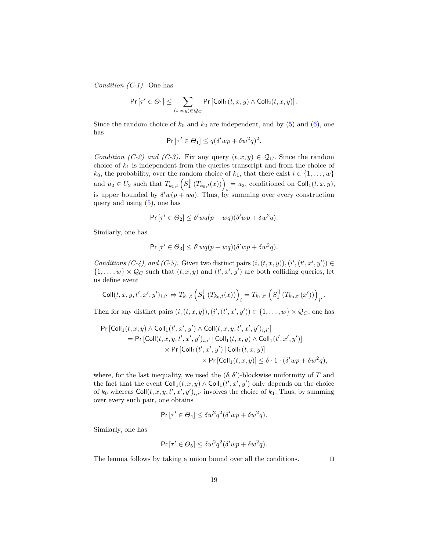*Condition (C-1).* One has

$$
\Pr\left[\tau' \in \Theta_1\right] \leq \sum_{(t,x,y) \in \mathcal{Q}_C} \Pr\left[\mathrm{Coll}_1(t,x,y) \wedge \mathrm{Coll}_2(t,x,y)\right].
$$

Since the random choice of  $k_0$  and  $k_2$  are independent, and by  $(5)$  and  $(6)$ , one has

$$
\Pr\left[\tau' \in \Theta_1\right] \le q(\delta'wp + \delta w^2 q)^2.
$$

*Condition (C-2) and (C-3).* Fix any query  $(t, x, y) \in \mathcal{Q}_C$ . Since the random choice of  $k_1$  is independent from the queries transcript and from the choice of *k*<sub>0</sub>, the probability, over the random choice of  $k_1$ , that there exist  $i \in \{1, ..., w\}$  $\text{and } u_2 \in U_2 \text{ such that } T_{k_1,t} \left( S_1^{\|} (T_{k_0,t}(x)) \right)_i = u_2 \text{, conditioned on } \text{Coll}_1(t,x,y),$ is upper bounded by  $\delta' w(p + wq)$ . Thus, by summing over every construction query and using  $(5)$ , one has

$$
\Pr\left[\tau' \in \Theta_2\right] \le \delta' w q (p + w q) (\delta' w p + \delta w^2 q).
$$

Similarly, one has

$$
\Pr\left[\tau' \in \Theta_3\right] \le \delta' w q (p + w q) (\delta' w p + \delta w^2 q).
$$

*Conditions (C-4), and (C-5).* Given two distinct pairs  $(i, (t, x, y)), (i', (t', x', y')) \in$  $\{1, \ldots, w\} \times \mathcal{Q}_C$  such that  $(t, x, y)$  and  $(t', x', y')$  are both colliding queries, let us define event

$$
\text{Coll}(t, x, y, t', x', y')_{i, i'} \Leftrightarrow T_{k_1, t} \left( S_1^{||} \left( T_{k_0, t}(x) \right) \right)_i = T_{k_1, t'} \left( S_1^{||} \left( T_{k_0, t'}(x') \right) \right)_{i'}.
$$

Then for any distinct pairs  $(i, (t, x, y)), (i', (t', x', y')) \in \{1, \ldots, w\} \times \mathcal{Q}_C$ , one has

$$
\begin{aligned} \Pr\left[\text{Coll}_1(t,x,y) \wedge \text{Coll}_1(t',x',y') \wedge \text{Coll}(t,x,y,t',x',y')_{i,i'}\right] \\ & = \Pr\left[\text{Coll}(t,x,y,t',x',y')_{i,i'} \mid \text{Coll}_1(t,x,y) \wedge \text{Coll}_1(t',x',y')\right] \\ & \qquad \qquad \times \Pr\left[\text{Coll}_1(t',x',y') \mid \text{Coll}_1(t,x,y)\right] \\ & \qquad \qquad \times \Pr\left[\text{Coll}_1(t,x,y)\right] \leq \delta \cdot 1 \cdot (\delta'wp + \delta w^2 q), \end{aligned}
$$

where, for the last inequality, we used the  $(\delta, \delta')$ -blockwise uniformity of *T* and the fact that the event  $\text{Coll}_1(t, x, y) \wedge \text{Coll}_1(t', x', y')$  only depends on the choice of  $k_0$  whereas  $\text{Coll}(t, x, y, t', x', y')_{i, i'}$  involves the choice of  $k_1$ . Thus, by summing over every such pair, one obtains

$$
\Pr\left[\tau' \in \Theta_4\right] \le \delta w^2 q^2 (\delta' w p + \delta w^2 q).
$$

Similarly, one has

$$
\Pr\left[\tau' \in \Theta_5\right] \le \delta w^2 q^2 (\delta' w p + \delta w^2 q).
$$

The lemma follows by taking a union bound over all the conditions.  $\Box$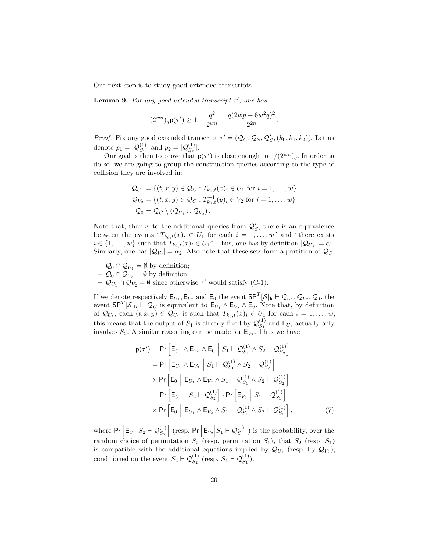<span id="page-19-0"></span>Our next step is to study good extended transcripts.

**Lemma 9.** For any good extended transcript  $\tau'$ , one has

$$
(2^{wn})_q \mathsf{p}(\tau') \ge 1 - \frac{q^2}{2^{wn}} - \frac{q(2wp + 6w^2q)^2}{2^{2n}}.
$$

*Proof.* Fix any good extended transcript  $\tau' = (Q_C, Q_S, Q_S', (k_0, k_1, k_2))$ . Let us denote  $p_1 = |Q_{S_1}^{(1)}|$  and  $p_2 = |Q_{S_2}^{(1)}|$ .

Our goal is then to prove that  $p(\tau')$  is close enough to  $1/(2^{wn})_q$ . In order to do so, we are going to group the construction queries according to the type of collision they are involved in:

$$
Q_{U_1} = \{(t, x, y) \in Q_C : T_{k_0, t}(x)_i \in U_1 \text{ for } i = 1, ..., w\}
$$
  
\n
$$
Q_{V_2} = \{(t, x, y) \in Q_C : T_{k_2, t}^{-1}(y)_i \in V_2 \text{ for } i = 1, ..., w\}
$$
  
\n
$$
Q_0 = Q_C \setminus (Q_{U_1} \cup Q_{V_2}).
$$

Note that, thanks to the additional queries from  $\mathcal{Q}'_S$ , there is an equivalence between the events " $T_{k_0,t}(x)_i \in U_1$  for each  $i = 1,\ldots,w$ " and "there exists"  $i \in \{1, \ldots, w\}$  such that  $T_{k_0,t}(x)_i \in U_1$ ". Thus, one has by definition  $|Q_{U_1}| = \alpha_1$ . Similarly, one has  $|Q_{V_2}| = \alpha_2$ . Also note that these sets form a partition of  $Q_C$ :

−  $Q_0 \cap Q_{U_1} = \emptyset$  by definition;

$$
- Q_0 \cap Q_{V_2} = \emptyset
$$
 by definition;

**−**  $\mathcal{Q}_{U_1} \cap \mathcal{Q}_{V_2} = \emptyset$  since otherwise  $\tau'$  would satisfy (C-1).

If we denote respectively  $\mathsf{E}_{U_1}, \mathsf{E}_{V_2}$  and  $\mathsf{E}_0$  the event  $\mathsf{S} \mathsf{P}^T [\mathcal{S}]_\mathbf{k} \vdash \mathcal{Q}_{U_1}, \mathcal{Q}_{V_2}, \mathcal{Q}_0$ , the event  $SP^T[S]_k \vdash Q_C$  is equivalent to  $E_{U_1} \wedge E_{V_2} \wedge E_0$ . Note that, by definition of  $\mathcal{Q}_{U_1}$ , each  $(t, x, y) \in \mathcal{Q}_{U_1}$  is such that  $T_{k_0,t}(x)_i \in U_1$  for each  $i = 1, \ldots, w$ ; this means that the output of  $S_1$  is already fixed by  $\mathcal{Q}_{S_1}^{(1)}$  $S_1^{(1)}$  and  $E_{U_1}$  actually only involves  $S_2$ . A similar reasoning can be made for  $E_{V_2}$ . Thus we have

<span id="page-19-1"></span>
$$
p(\tau') = Pr \left[ E_{U_1} \wedge E_{V_2} \wedge E_0 \middle| S_1 \vdash Q_{S_1}^{(1)} \wedge S_2 \vdash Q_{S_2}^{(1)} \right]
$$
  
\n
$$
= Pr \left[ E_{U_1} \wedge E_{V_2} \middle| S_1 \vdash Q_{S_1}^{(1)} \wedge S_2 \vdash Q_{S_2}^{(1)} \right]
$$
  
\n
$$
\times Pr \left[ E_0 \middle| E_{U_1} \wedge E_{V_2} \wedge S_1 \vdash Q_{S_1}^{(1)} \wedge S_2 \vdash Q_{S_2}^{(1)} \right]
$$
  
\n
$$
= Pr \left[ E_{U_1} \middle| S_2 \vdash Q_{S_2}^{(1)} \right] \cdot Pr \left[ E_{V_2} \middle| S_1 \vdash Q_{S_1}^{(1)} \right]
$$
  
\n
$$
\times Pr \left[ E_0 \middle| E_{U_1} \wedge E_{V_2} \wedge S_1 \vdash Q_{S_1}^{(1)} \wedge S_2 \vdash Q_{S_2}^{(1)} \right],
$$
 (7)

where  $Pr\left[E_{U_1}\Big|S_2\vdash Q_{S_2}^{(1)}\right]$  (resp.  $Pr\left[E_{V_2}\Big|S_1\vdash Q_{S_1}^{(1)}\right]$ ) is the probability, over the random choice of permutation  $S_2$  (resp. permutation  $S_1$ ), that  $S_2$  (resp.  $S_1$ ) is compatible with the additional equations implied by  $\mathcal{Q}_{U_1}$  (resp. by  $\mathcal{Q}_{V_2}$ ), conditioned on the event  $S_2 \vdash Q_{S_2}^{(1)}$  (resp.  $S_1 \vdash Q_{S_1}^{(1)}$ ).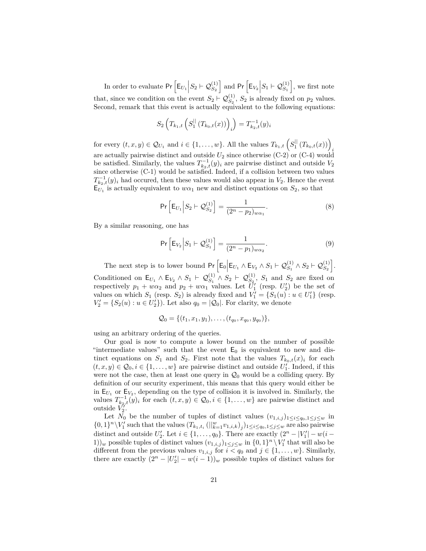In order to evaluate  $Pr\left[E_{U_1}\Big|S_2\vdash Q_{S_2}^{(1)}\right]$  and  $Pr\left[E_{V_2}\Big|S_1\vdash Q_{S_1}^{(1)}\right]$ , we first note that, since we condition on the event  $S_2 \vdash \mathcal{Q}_{S_2}^{(1)}$ ,  $S_2$  is already fixed on  $p_2$  values. Second, remark that this event is actually equivalent to the following equations:

$$
S_2\left(T_{k_1,t}\left(S_1^{||}\left(T_{k_0,t}(x)\right)\right)_i\right) = T_{k_2,t}^{-1}(y)_i
$$

for every  $(t, x, y) \in \mathcal{Q}_{U_1}$  and  $i \in \{1, \ldots, w\}$ . All the values  $T_{k_1,t} \left( S_1^{||}(T_{k_0,t}(x)) \right)$ are actually pairwise distinct and outside  $U_2$  since otherwise (C-2) or (C-4) would be satisfied. Similarly, the values  $T_{k_2,t}^{-1}(y)_i$  are pairwise distinct and outside  $V_2$ since otherwise (C-1) would be satisfied. Indeed, if a collision between two values  $T_{k_2,t}^{-1}(y)$  had occured, then these values would also appear in *V*<sub>2</sub>. Hence the event  $E_{U_1}$  is actually equivalent to  $w\alpha_1$  new and distinct equations on  $S_2$ , so that

<span id="page-20-0"></span>
$$
\Pr\left[E_{U_1}\Big|S_2\vdash Q_{S_2}^{(1)}\right] = \frac{1}{(2^n - p_2)_{w\alpha_1}}.\tag{8}
$$

By a similar reasoning, one has

<span id="page-20-1"></span>
$$
\Pr\left[E_{V_2}\Big|S_1\vdash Q_{S_1}^{(1)}\right] = \frac{1}{(2^n - p_1)_{w\alpha_2}}.\tag{9}
$$

The next step is to lower bound  $Pr\left[E_0 \middle| E_{U_1} \wedge E_{V_2} \wedge S_1 \vdash \mathcal{Q}_{S_1}^{(1)} \wedge S_2 \vdash \mathcal{Q}_{S_2}^{(1)}\right]$ . Conditioned on  $\mathsf{E}_{U_1} \wedge \mathsf{E}_{V_2} \wedge S_1 \vdash \mathcal{Q}_{S_1}^{(1)} \wedge S_2 \vdash \mathcal{Q}_{S_2}^{(1)}$ ,  $S_1$  and  $S_2$  are fixed on respectively  $p_1 + w\alpha_2$  and  $p_2 + w\alpha_1$  values. Let  $\tilde{U}'_1$  (resp.  $U'_2$ ) be the set of values on which  $S_1$  (resp.  $S_2$ ) is already fixed and  $V'_1 = \{S_1(u) : u \in U'_1\}$  (resp.  $V_2' = \{S_2(u) : u \in U_2'\}$ . Let also  $q_0 = |Q_0|$ . For clarity, we denote

$$
Q_0 = \{(t_1, x_1, y_1), \ldots, (t_{q_0}, x_{q_0}, y_{q_0})\},\,
$$

using an arbitrary ordering of the queries.

Our goal is now to compute a lower bound on the number of possible "intermediate values" such that the event  $E_0$  is equivalent to new and distinct equations on  $S_1$  and  $S_2$ . First note that the values  $T_{k_0,t}(x)_i$  for each  $(t, x, y) \in \mathcal{Q}_0, i \in \{1, \ldots, w\}$  are pairwise distinct and outside  $U'_1$ . Indeed, if this were not the case, then at least one query in  $\mathcal{Q}_0$  would be a colliding query. By definition of our security experiment, this means that this query would either be in  $E_{U_1}$  or  $E_{V_2}$ , depending on the type of collision it is involved in. Similarly, the values  $T_{k_2,t}^{-1}(y)_i$  for each  $(t, x, y) \in \mathcal{Q}_0, i \in \{1, \ldots, w\}$  are pairwise distinct and outside  $V_2'$ . outside *V* 2

Let  $N_0$  be the number of tuples of distinct values  $(v_{1,i,j})_{1 \leq i \leq q_0, 1 \leq j \leq w}$  in  $\{0,1\}^n\setminus V'_1$  such that the values  $(T_{k_1,t_i}(\|_{k=1}^w v_{1,i,k})_j)_{1\leq i\leq q_0,1\leq j\leq w}$  are also pairwise distinct and outside  $U_2'$ . Let  $i \in \{1, ..., q_0\}$ . There are exactly  $(2^n - |V_1'| - w(i -$ 1))<sub>*w*</sub> possible tuples of distinct values  $(v_{1,i,j})_{1 \leq j \leq w}$  in  $\{0,1\}^n \setminus V'_1$  that will also be different from the previous values  $v_{1,i,j}$  for  $i < q_0$  and  $j \in \{1, \ldots, w\}$ . Similarly, there are exactly  $(2^n - |U_2'| - w(i-1))_w$  possible tuples of distinct values for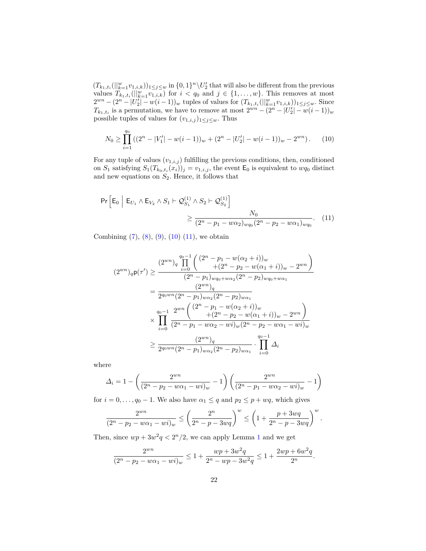$(T_{k_1,t_i}(\|_{k=1}^w v_{1,i,k}))_{1 \leq j \leq w}$  in  $\{0,1\}^n \setminus U_2'$  that will also be different from the previous values  $T_{k_1,t_i}(\|_{k=1}^w v_{1,i,k})$  for  $i < q_0$  and  $j \in \{1,\ldots,w\}$ . This removes at most  $2^{wn} - (2^n - |U_2'| - w(i-1))_w$  tuples of values for  $(T_{k_1, t_i}(||_{k=1}^w v_{1,i,k}))_{1 \leq j \leq w}$ . Since  $T_{k_1, t_i}$  is a permutation, we have to remove at most  $2^{wn} - (2^n - |U'_2| - w(i-1))_w$ possible tuples of values for  $(v_{1,i,j})_{1\leq j\leq w}$ . Thus

<span id="page-21-0"></span>
$$
N_0 \ge \prod_{i=1}^{q_0} \left( (2^n - |V_1'| - w(i-1))_w + (2^n - |U_2'| - w(i-1))_w - 2^{wn} \right). \tag{10}
$$

For any tuple of values  $(v_{1,i,j})$  fulfilling the previous conditions, then, conditioned on  $S_1$  satisfying  $S_1(T_{k_0,t_i}(x_i))_j = v_{1,i,j}$ , the event  $\mathsf{E}_0$  is equivalent to  $wq_0$  distinct and new equations on  $S_2$ . Hence, it follows that

$$
\Pr\left[E_0 \middle| E_{U_1} \wedge E_{V_2} \wedge S_1 \vdash \mathcal{Q}_{S_1}^{(1)} \wedge S_2 \vdash \mathcal{Q}_{S_2}^{(1)}\right] \ge \frac{N_0}{(2^n - p_1 - w\alpha_2)_{wq_0}(2^n - p_2 - w\alpha_1)_{wq_0}}.\tag{11}
$$

Combining  $(7)$ ,  $(8)$ ,  $(9)$ ,  $(10)$   $(11)$ , we obtain

<span id="page-21-1"></span>
$$
(2^{wn})_q \mathsf{p}(\tau') \geq \frac{(2^{wn})_q \prod_{i=0}^{q_0-1} \left( \frac{(2^n - p_1 - w(\alpha_2 + i))_w}{+(2^n - p_2 - w(\alpha_1 + i))_w - 2^{wn}} \right)}{(2^n - p_1)_{wq_0 + w\alpha_2} (2^n - p_2)_{wq_0 + w\alpha_1}}
$$
  
= 
$$
\frac{(2^{wn})_q}{2^{q_0 w n} (2^n - p_1)_{w\alpha_2} (2^n - p_2)_{w\alpha_1}}
$$
  

$$
\times \prod_{i=0}^{q_0-1} \frac{2^{wn} \left( \frac{(2^n - p_1 - w(\alpha_2 + i))_w}{+(2^n - p_2 - w(\alpha_1 + i))_w - 2^{wn}} \right)}{(2^n - p_1 - w\alpha_2 - wi)_w (2^n - p_2 - w\alpha_1 - wi)_w}
$$
  

$$
\geq \frac{(2^{wn})_q}{2^{q_0 w n} (2^n - p_1)_{w\alpha_2} (2^n - p_2)_{w\alpha_1}} \cdot \prod_{i=0}^{q_0-1} \Delta_i
$$

where

$$
\Delta_i = 1 - \left(\frac{2^{wn}}{(2^n - p_2 - w\alpha_1 - wi)_w} - 1\right) \left(\frac{2^{wn}}{(2^n - p_1 - w\alpha_2 - wi)_w} - 1\right)
$$

for  $i = 0, \ldots, q_0 - 1$ . We also have  $\alpha_1 \leq q$  and  $p_2 \leq p + wq$ , which gives

$$
\frac{2^{wn}}{(2^n - p_2 - w\alpha_1 - wi)_w} \le \left(\frac{2^n}{2^n - p - 3wq}\right)^w \le \left(1 + \frac{p + 3wq}{2^n - p - 3wq}\right)^w.
$$

Then, since  $wp + 3w^2q < 2^n/2$ , we can apply Lemma [1](#page-4-1) and we get

$$
\frac{2^{wn}}{(2^n - p_2 - w\alpha_1 - wi)_w} \le 1 + \frac{wp + 3w^2q}{2^n - wp - 3w^2q} \le 1 + \frac{2wp + 6w^2q}{2^n}.
$$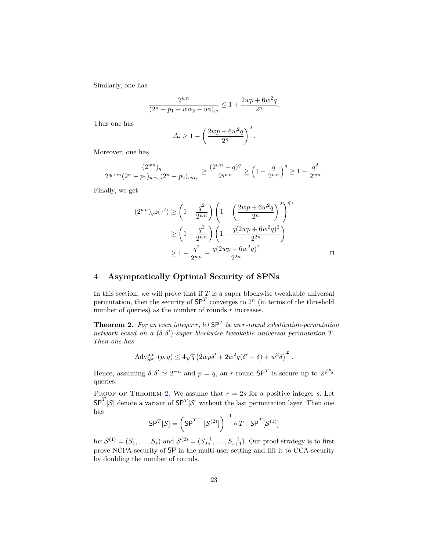Similarly, one has

$$
\frac{2^{wn}}{(2^n - p_1 - w\alpha_2 - wi)_w} \le 1 + \frac{2wp + 6w^2q}{2^n}.
$$

Thus one has

$$
\Delta_i \ge 1 - \left(\frac{2wp + 6w^2q}{2^n}\right)^2.
$$

Moreover, one has

$$
\frac{(2^{wn})_q}{2^{q_0wn}(2^n-p_1)_{w\alpha_2}(2^n-p_2)_{w\alpha_1}} \ge \frac{(2^{wn}-q)^q}{2^{qwn}} \ge \left(1-\frac{q}{2^{wn}}\right)^q \ge 1-\frac{q^2}{2^{wn}}.
$$

Finally, we get

$$
(2^{wn})_q \mathsf{p}(\tau') \ge \left(1 - \frac{q^2}{2^{wn}}\right) \left(1 - \left(\frac{2wp + 6w^2q}{2^n}\right)^2\right)^{q_0}
$$
  
 
$$
\ge \left(1 - \frac{q^2}{2^{wn}}\right) \left(1 - \frac{q(2wp + 6w^2q)^2}{2^{2n}}\right)
$$
  
 
$$
\ge 1 - \frac{q^2}{2^{wn}} - \frac{q(2wp + 6w^2q)^2}{2^{2n}}.
$$

# **4 Asymptotically Optimal Security of SPNs**

In this section, we will prove that if  $T$  is a super blockwise tweakable universal permutation, then the security of  $SP<sup>T</sup>$  converges to  $2<sup>n</sup>$  (in terms of the threshold number of queries) as the number of rounds *r* increases.

<span id="page-22-0"></span>**Theorem 2.** *For an even integer r, let* SP*<sup>T</sup> be an r-round substitution-permutation network based on a*  $(\delta, \delta')$ -super blockwise tweakable universal permutation  $T$ *. Then one has*

$$
Adv_{\mathbf{SP}^T}^{\mathbf{nu}}(p,q) \le 4\sqrt{q} \left(2wp\delta' + 2w^2q(\delta' + \delta) + w^2\delta\right)^{\frac{r}{4}}.
$$

Hence, assuming  $\delta, \delta' \simeq 2^{-n}$  and  $p = q$ , an *r*-round  $SP^T$  is secure up to  $2^{\frac{rn}{r+2}}$ queries.

PROOF OF THEOREM [2.](#page-22-0) We assume that  $r = 2s$  for a positive integer *s*. Let  $\overline{\mathsf{SP}}^T[\mathcal{S}]$  denote a variant of  $\mathsf{SP}^T[\mathcal{S}]$  without the last permutation layer. Then one has

$$
\mathsf{SP}^T[\mathcal{S}]=\left(\overline{\mathsf{SP}}^{T^{-1}}[\mathcal{S}^{(2)}]\right)^{-1}\circ T\circ\overline{\mathsf{SP}}^T[\mathcal{S}^{(1)}]
$$

for  $S^{(1)} = (S_1, \ldots, S_s)$  and  $S^{(2)} = (S_{2s}^{-1}, \ldots, S_{s+1}^{-1})$ . Our proof strategy is to first prove NCPA-security of  $\overline{\text{SP}}$  in the multi-user setting and lift it to CCA-security by doubling the number of rounds.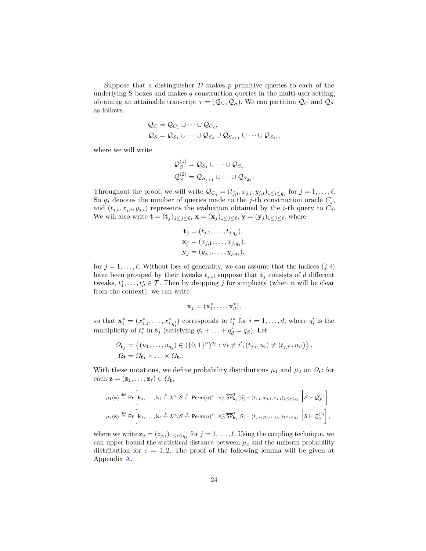Suppose that a distinguisher  $D$  makes  $p$  primitive queries to each of the underlying S-boxes and makes *q* construction queries in the multi-user setting, obtaining an attainable transcript  $\tau = (Q_C, Q_S)$ . We can partition  $Q_C$  and  $Q_S$ as follows.

$$
Q_C = Q_{C_1} \cup \dots \cup Q_{C_\ell},
$$
  
\n
$$
Q_S = Q_{S_1} \cup \dots \cup Q_{S_s} \cup Q_{S_{s+1}} \cup \dots \cup Q_{S_{2s}},
$$

where we will write

$$
Q_S^{(1)} = Q_{S_1} \cup \dots \cup Q_{S_s},
$$
  

$$
Q_S^{(2)} = Q_{S_{s+1}} \cup \dots \cup Q_{S_{2s}}.
$$

Throughout the proof, we will write  $\mathcal{Q}_{C_j} = (t_{j,i}, x_{j,i}, y_{j,i})_{1 \leq i \leq q_j}$  for  $j = 1, \ldots, \ell$ . So  $q_j$  denotes the number of queries made to the *j*-th construction oracle  $C_j$ , and  $(t_{j,i}, x_{j,i}, y_{j,i})$  represents the evaluation obtained by the *i*-th query to  $C_j$ . We will also write  $\mathbf{t} = (\mathbf{t}_j)_{1 \leq j \leq \ell}$ ,  $\mathbf{x} = (\mathbf{x}_j)_{1 \leq j \leq \ell}$ ,  $\mathbf{y} = (\mathbf{y}_j)_{1 \leq j \leq \ell}$ , where

$$
\mathbf{t}_{j} = (t_{j,1}, \ldots, t_{j,q_{j}}),
$$
  
\n
$$
\mathbf{x}_{j} = (x_{j,1}, \ldots, x_{j,q_{j}}),
$$
  
\n
$$
\mathbf{y}_{j} = (y_{j,1}, \ldots, y_{j,q_{j}}),
$$

for  $j = 1, \ldots, \ell$ . Without loss of generality, we can assume that the indices  $(j, i)$ have been grouped by their tweaks  $t_{j,i}$ ; suppose that  $\mathbf{t}_j$  consists of *d* different tweaks,  $t_1^*, \ldots, t_d^* \in \mathcal{T}$ . Then by dropping *j* for simplicity (when it will be clear from the context), we can write

$$
\mathbf{x}_j = (\mathbf{x}_1^*, \dots, \mathbf{x}_d^*),
$$

so that  $\mathbf{x}_i^* = (x_{i,1}^*, \ldots, x_{i,q_i}^*)$  corresponds to  $t_i^*$  for  $i = 1, \ldots, d$ , where  $q_i'$  is the multiplicity of  $t_i^*$  in **t**<sub>*j*</sub> (satisfying  $q'_1 + \ldots + q'_d = q_\beta$ ). Let

$$
\Omega_{\mathbf{t}_j} = \{ (u_1, \dots, u_{q_j}) \in (\{0, 1\}^n)^{q_j} : \forall i \neq i', (t_{j,i}, u_i) \neq (t_{j,i'}, u_{i'}) \},
$$
  

$$
\Omega_{\mathbf{t}} = \Omega_{\mathbf{t}_1} \times \ldots \times \Omega_{\mathbf{t}_{\ell}}.
$$

With these notations, we define probability distributions  $\mu_1$  and  $\mu_2$  on  $\Omega_t$ ; for each  $\mathbf{z} = (\mathbf{z}_1, \dots, \mathbf{z}_\ell) \in \Omega_{\mathbf{t}},$ 

$$
\mu_1(\mathbf{z}) \stackrel{\text{def}}{=} \Pr\left[\mathbf{k}_1,\ldots,\mathbf{k}_\ell\xleftarrow{\$}\mathcal{K}^s,\mathcal{S}\stackrel{\$}{\leftarrow} \text{Perm}(n)^s:\forall j,\overline{\text{SP}}_{\mathbf{k}_j}^T[\mathcal{S}]\vdash (t_{j,i},x_{j,i},z_{j,i})_{1\leq i\leq q_j}\;\left|\mathcal{S}\vdash \mathcal{Q}_S^{(1)}\right.\right],
$$

$$
\mu_2(\mathbf{z}) \stackrel{\text{def}}{=} \Pr\left[\mathbf{k}_1,\ldots,\mathbf{k}_\ell\xleftarrow{\$}\mathcal{K}^s,\mathcal{S}\stackrel{\$}{\leftarrow} \text{Perm}(n)^s:\forall j,\overline{\text{SP}}_{\mathbf{k}_j}^T[\mathcal{S}]\vdash (t_{j,i},y_{j,i},z_{j,i})_{1\leq i\leq q_j}\;\left|\mathcal{S}\vdash \mathcal{Q}_S^{(2)}\right.\right],
$$

<span id="page-23-0"></span>where we write  $\mathbf{z}_j = (z_{j,i})_{1 \leq i \leq q_j}$  for  $j = 1, \ldots, \ell$ . Using the coupling technique, we can upper bound the statistical distance between  $\mu_c$  and the uniform probability distribution for  $c = 1, 2$ . The proof of the following lemma will be given at Appendix [A.](#page-27-6)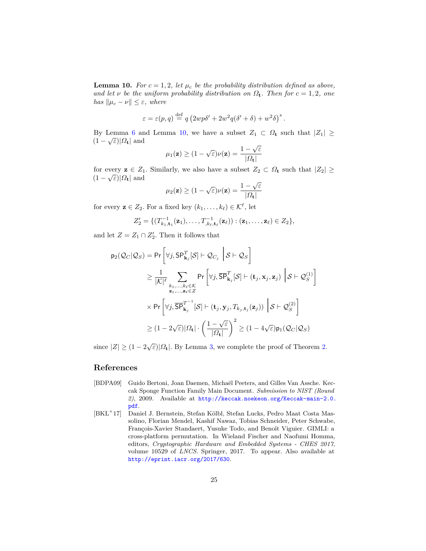**Lemma 10.** For  $c = 1, 2$ , let  $\mu_c$  be the probability distribution defined as above, *and let*  $\nu$  *be the uniform probability distribution on*  $\Omega$ *t. Then for*  $c = 1, 2$ *, one has*  $\|\mu_c - \nu\| \leq \varepsilon$ *, where* 

$$
\varepsilon = \varepsilon(p, q) \stackrel{\text{def}}{=} q \left( 2wp \delta' + 2w^2 q (\delta' + \delta) + w^2 \delta \right)^s.
$$

By Lemma [6](#page-12-2) and Lemma [10,](#page-23-0) we have a subset  $Z_1 \subset \Omega_t$  such that  $|Z_1| \geq$  $(1 - \sqrt{\varepsilon})|\Omega_{\mathbf{t}}|$  and √

$$
\mu_1(\mathbf{z}) \ge (1 - \sqrt{\varepsilon}) \nu(\mathbf{z}) = \frac{1 - \sqrt{\varepsilon}}{|\varOmega_{\mathbf{t}}|}
$$

for every  $z \in Z_1$ . Similarly, we also have a subset  $Z_2 \subset \Omega$ **t** such that  $|Z_2| \geq$  $(1 - \sqrt{\varepsilon})|\Omega_{\mathbf{t}}|$  and √

$$
\mu_2(\mathbf{z}) \ge (1 - \sqrt{\varepsilon}) \nu(\mathbf{z}) = \frac{1 - \sqrt{\varepsilon}}{|\varOmega_{\mathbf{t}}|}
$$

for every  $z \in Z_2$ . For a fixed key  $(k_1, \ldots, k_\ell) \in \mathcal{K}^\ell$ , let

$$
Z_2' = \{ (T_{k_1, \mathbf{t}_1}^{-1}(\mathbf{z}_1), \dots, T_{k_\ell, \mathbf{t}_\ell}^{-1}(\mathbf{z}_\ell)) : (\mathbf{z}_1, \dots, \mathbf{z}_\ell) \in Z_2 \},
$$

and let  $Z = Z_1 \cap Z'_2$ . Then it follows that

$$
p_2(\mathcal{Q}_C|\mathcal{Q}_S) = \Pr\left[\forall j, \mathsf{SP}_{\mathbf{k}_j}^T[\mathcal{S}] \vdash \mathcal{Q}_{C_j} \middle| \mathcal{S} \vdash \mathcal{Q}_S\right]
$$
  
\n
$$
\geq \frac{1}{|\mathcal{K}|^{\ell}} \sum_{\substack{k_1, \dots, k_\ell \in \mathcal{K} \\ \mathbf{z}_1, \dots, \mathbf{z}_\ell \in \mathcal{Z}}} \Pr\left[\forall j, \overline{\mathsf{SP}}_{\mathbf{k}_j}^T[\mathcal{S}] \vdash (\mathbf{t}_j, \mathbf{x}_j, \mathbf{z}_j) \middle| \mathcal{S} \vdash \mathcal{Q}_S^{(1)}\right]
$$
  
\n
$$
\times \Pr\left[\forall j, \overline{\mathsf{SP}}_{\mathbf{k}_j}^{T^{-1}}[\mathcal{S}] \vdash (\mathbf{t}_j, \mathbf{y}_j, T_{k_j, \mathbf{t}_j}(\mathbf{z}_j)) \middle| \mathcal{S} \vdash \mathcal{Q}_S^{(2)}\right]
$$
  
\n
$$
\geq (1 - 2\sqrt{\varepsilon})|\Omega_{\mathbf{t}}| \cdot \left(\frac{1 - \sqrt{\varepsilon}}{|\Omega_{\mathbf{t}}|}\right)^2 \geq (1 - 4\sqrt{\varepsilon})p_1(\mathcal{Q}_C|\mathcal{Q}_S)
$$

since  $|Z| \geq (1 - 2\sqrt{\varepsilon})|\Omega_{\mathbf{t}}|$ . By Lemma [3,](#page-11-1) we complete the proof of Theorem [2.](#page-22-0)

## **References**

- <span id="page-24-0"></span>[BDPA09] Guido Bertoni, Joan Daemen, Michaël Peeters, and Gilles Van Assche. Keccak Sponge Function Family Main Document. *Submission to NIST (Round 2)*, 2009. Available at [http://keccak.noekeon.org/Keccak-main-2.0.](http://keccak.noekeon.org/Keccak-main-2.0.pdf) [pdf](http://keccak.noekeon.org/Keccak-main-2.0.pdf).
- <span id="page-24-1"></span>[BKL<sup>+</sup>17] Daniel J. Bernstein, Stefan Kölbl, Stefan Lucks, Pedro Maat Costa Massolino, Florian Mendel, Kashif Nawaz, Tobias Schneider, Peter Schwabe, François-Xavier Standaert, Yusuke Todo, and Benoît Viguier. GIMLI: a cross-platform permutation. In Wieland Fischer and Naofumi Homma, editors, *Cryptographic Hardware and Embedded Systems - CHES 2017*, volume 10529 of *LNCS*. Springer, 2017. To appear. Also available at <http://eprint.iacr.org/2017/630>.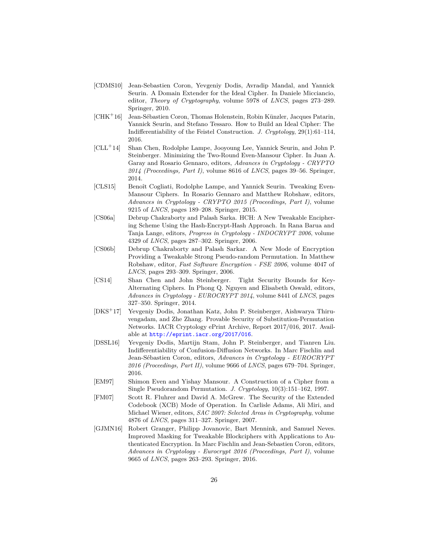- <span id="page-25-11"></span>[CDMS10] Jean-Sebastien Coron, Yevgeniy Dodis, Avradip Mandal, and Yannick Seurin. A Domain Extender for the Ideal Cipher. In Daniele Micciancio, editor, *Theory of Cryptography*, volume 5978 of *LNCS*, pages 273–289. Springer, 2010.
- <span id="page-25-0"></span>[CHK<sup>+</sup>16] Jean-Sébastien Coron, Thomas Holenstein, Robin Künzler, Jacques Patarin, Yannick Seurin, and Stefano Tessaro. How to Build an Ideal Cipher: The Indifferentiability of the Feistel Construction. *J. Cryptology*, 29(1):61–114, 2016.
- <span id="page-25-6"></span>[CLL<sup>+</sup>14] Shan Chen, Rodolphe Lampe, Jooyoung Lee, Yannick Seurin, and John P. Steinberger. Minimizing the Two-Round Even-Mansour Cipher. In Juan A. Garay and Rosario Gennaro, editors, *Advances in Cryptology - CRYPTO 2014 (Proceedings, Part I)*, volume 8616 of *LNCS*, pages 39–56. Springer, 2014.
- <span id="page-25-7"></span>[CLS15] Benoît Cogliati, Rodolphe Lampe, and Yannick Seurin. Tweaking Even-Mansour Ciphers. In Rosario Gennaro and Matthew Robshaw, editors, *Advances in Cryptology - CRYPTO 2015 (Proceedings, Part I)*, volume 9215 of *LNCS*, pages 189–208. Springer, 2015.
- <span id="page-25-9"></span>[CS06a] Debrup Chakraborty and Palash Sarka. HCH: A New Tweakable Enciphering Scheme Using the Hash-Encrypt-Hash Approach. In Rana Barua and Tanja Lange, editors, *Progress in Cryptology - INDOCRYPT 2006*, volume 4329 of *LNCS*, pages 287–302. Springer, 2006.
- <span id="page-25-1"></span>[CS06b] Debrup Chakraborty and Palash Sarkar. A New Mode of Encryption Providing a Tweakable Strong Pseudo-random Permutation. In Matthew Robshaw, editor, *Fast Software Encryption - FSE 2006*, volume 4047 of *LNCS*, pages 293–309. Springer, 2006.
- <span id="page-25-5"></span>[CS14] Shan Chen and John Steinberger. Tight Security Bounds for Key-Alternating Ciphers. In Phong Q. Nguyen and Elisabeth Oswald, editors, *Advances in Cryptology - EUROCRYPT 2014*, volume 8441 of *LNCS*, pages 327–350. Springer, 2014.
- <span id="page-25-2"></span>[DKS<sup>+</sup>17] Yevgeniy Dodis, Jonathan Katz, John P. Steinberger, Aishwarya Thiruvengadam, and Zhe Zhang. Provable Security of Substitution-Permutation Networks. IACR Cryptology ePrint Archive, Report 2017/016, 2017. Available at <http://eprint.iacr.org/2017/016>.
- <span id="page-25-3"></span>[DSSL16] Yevgeniy Dodis, Martijn Stam, John P. Steinberger, and Tianren Liu. Indifferentiability of Confusion-Diffusion Networks. In Marc Fischlin and Jean-Sébastien Coron, editors, *Advances in Cryptology - EUROCRYPT 2016 (Proceedings, Part II)*, volume 9666 of *LNCS*, pages 679–704. Springer, 2016.
- <span id="page-25-4"></span>[EM97] Shimon Even and Yishay Mansour. A Construction of a Cipher from a Single Pseudorandom Permutation. *J. Cryptology*, 10(3):151–162, 1997.
- <span id="page-25-10"></span>[FM07] Scott R. Fluhrer and David A. McGrew. The Security of the Extended Codebook (XCB) Mode of Operation. In Carlisle Adams, Ali Miri, and Michael Wiener, editors, *SAC 2007: Selected Areas in Cryptography*, volume 4876 of *LNCS*, pages 311–327. Springer, 2007.
- <span id="page-25-8"></span>[GJMN16] Robert Granger, Philipp Jovanovic, Bart Mennink, and Samuel Neves. Improved Masking for Tweakable Blockciphers with Applications to Authenticated Encryption. In Marc Fischlin and Jean-Sebastien Coron, editors, *Advances in Cryptology - Eurocrypt 2016 (Proceedings, Part I)*, volume 9665 of *LNCS*, pages 263–293. Springer, 2016.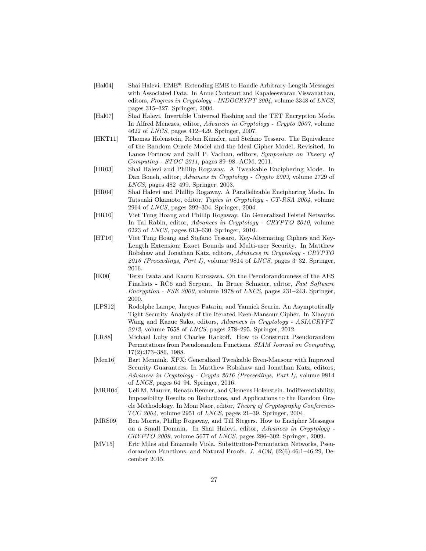- <span id="page-26-12"></span>[Hal04] Shai Halevi. EME\*: Extending EME to Handle Arbitrary-Length Messages with Associated Data. In Anne Canteaut and Kapaleeswaran Viswanathan, editors, *Progress in Cryptology - INDOCRYPT 2004*, volume 3348 of *LNCS*, pages 315–327. Springer, 2004.
- <span id="page-26-3"></span>[Hal07] Shai Halevi. Invertible Universal Hashing and the TET Encryption Mode. In Alfred Menezes, editor, *Advances in Cryptology - Crypto 2007*, volume 4622 of *LNCS*, pages 412–429. Springer, 2007.
- <span id="page-26-2"></span>[HKT11] Thomas Holenstein, Robin Künzler, and Stefano Tessaro. The Equivalence of the Random Oracle Model and the Ideal Cipher Model, Revisited. In Lance Fortnow and Salil P. Vadhan, editors, *Symposium on Theory of Computing - STOC 2011*, pages 89–98. ACM, 2011.
- <span id="page-26-10"></span>[HR03] Shai Halevi and Phillip Rogaway. A Tweakable Enciphering Mode. In Dan Boneh, editor, *Advances in Cryptology - Crypto 2003*, volume 2729 of *LNCS*, pages 482–499. Springer, 2003.
- <span id="page-26-11"></span>[HR04] Shai Halevi and Phillip Rogaway. A Parallelizable Enciphering Mode. In Tatsuaki Okamoto, editor, *Topics in Cryptology - CT-RSA 2004*, volume 2964 of *LNCS*, pages 292–304. Springer, 2004.
- <span id="page-26-1"></span>[HR10] Viet Tung Hoang and Phillip Rogaway. On Generalized Feistel Networks. In Tal Rabin, editor, *Advances in Cryptology - CRYPTO 2010*, volume 6223 of *LNCS*, pages 613–630. Springer, 2010.
- <span id="page-26-4"></span>[HT16] Viet Tung Hoang and Stefano Tessaro. Key-Alternating Ciphers and Key-Length Extension: Exact Bounds and Multi-user Security. In Matthew Robshaw and Jonathan Katz, editors, *Advances in Cryptology - CRYPTO 2016 (Proceedings, Part I)*, volume 9814 of *LNCS*, pages 3–32. Springer, 2016.
- <span id="page-26-6"></span>[IK00] Tetsu Iwata and Kaoru Kurosawa. On the Pseudorandomness of the AES Finalists - RC6 and Serpent. In Bruce Schneier, editor, *Fast Software Encryption - FSE 2000*, volume 1978 of *LNCS*, pages 231–243. Springer, 2000.
- <span id="page-26-13"></span>[LPS12] Rodolphe Lampe, Jacques Patarin, and Yannick Seurin. An Asymptotically Tight Security Analysis of the Iterated Even-Mansour Cipher. In Xiaoyun Wang and Kazue Sako, editors, *Advances in Cryptology - ASIACRYPT 2012*, volume 7658 of *LNCS*, pages 278–295. Springer, 2012.
- <span id="page-26-0"></span>[LR88] Michael Luby and Charles Rackoff. How to Construct Pseudorandom Permutations from Pseudorandom Functions. *SIAM Journal on Computing*, 17(2):373–386, 1988.
- <span id="page-26-9"></span>[Men16] Bart Mennink. XPX: Generalized Tweakable Even-Mansour with Improved Security Guarantees. In Matthew Robshaw and Jonathan Katz, editors, *Advances in Cryptology - Crypto 2016 (Proceedings, Part I)*, volume 9814 of *LNCS*, pages 64–94. Springer, 2016.
- <span id="page-26-8"></span>[MRH04] Ueli M. Maurer, Renato Renner, and Clemens Holenstein. Indifferentiability, Impossibility Results on Reductions, and Applications to the Random Oracle Methodology. In Moni Naor, editor, *Theory of Cryptography Conference-TCC 2004*, volume 2951 of *LNCS*, pages 21–39. Springer, 2004.
- <span id="page-26-5"></span>[MRS09] Ben Morris, Phillip Rogaway, and Till Stegers. How to Encipher Messages on a Small Domain. In Shai Halevi, editor, *Advances in Cryptology - CRYPTO 2009*, volume 5677 of *LNCS*, pages 286–302. Springer, 2009.
- <span id="page-26-7"></span>[MV15] Eric Miles and Emanuele Viola. Substitution-Permutation Networks, Pseudorandom Functions, and Natural Proofs. *J. ACM*, 62(6):46:1–46:29, December 2015.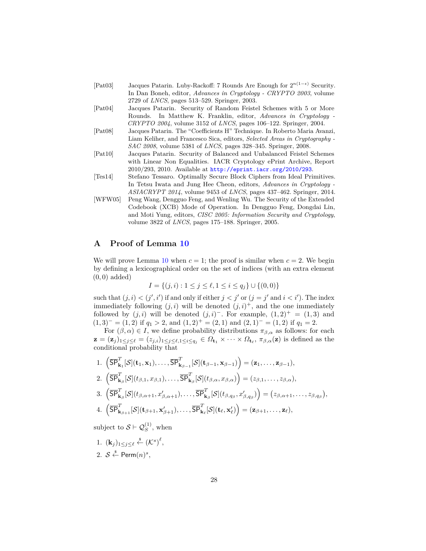<span id="page-27-0"></span>

| [Pat03] | Jacques Patarin. Luby-Rackoff: 7 Rounds Are Enough for $2^{n(1-\epsilon)}$ Security. |
|---------|--------------------------------------------------------------------------------------|
|         | In Dan Boneh, editor, Advances in Cryptology - CRYPTO 2003, volume                   |
|         | 2729 of <i>LNCS</i> , pages $513-529$ . Springer, 2003.                              |

- <span id="page-27-1"></span>[Pat04] Jacques Patarin. Security of Random Feistel Schemes with 5 or More Rounds. In Matthew K. Franklin, editor, *Advances in Cryptology - CRYPTO 2004*, volume 3152 of *LNCS*, pages 106–122. Springer, 2004.
- <span id="page-27-4"></span>[Pat08] Jacques Patarin. The "Coefficients H" Technique. In Roberto Maria Avanzi, Liam Keliher, and Francesco Sica, editors, *Selected Areas in Cryptography - SAC 2008*, volume 5381 of *LNCS*, pages 328–345. Springer, 2008.
- <span id="page-27-2"></span>[Pat10] Jacques Patarin. Security of Balanced and Unbalanced Feistel Schemes with Linear Non Equalities. IACR Cryptology ePrint Archive, Report 2010/293, 2010. Available at <http://eprint.iacr.org/2010/293>.
- <span id="page-27-3"></span>[Tes14] Stefano Tessaro. Optimally Secure Block Ciphers from Ideal Primitives. In Tetsu Iwata and Jung Hee Cheon, editors, *Advances in Cryptology - ASIACRYPT 2014*, volume 9453 of *LNCS*, pages 437–462. Springer, 2014.
- <span id="page-27-5"></span>[WFW05] Peng Wang, Dengguo Feng, and Wenling Wu. The Security of the Extended Codebook (XCB) Mode of Operation. In Dengguo Feng, Dongdai Lin, and Moti Yung, editors, *CISC 2005: Information Security and Cryptology*, volume 3822 of *LNCS*, pages 175–188. Springer, 2005.

## <span id="page-27-6"></span>**A Proof of Lemma [10](#page-23-0)**

We will prove Lemma [10](#page-23-0) when  $c = 1$ ; the proof is similar when  $c = 2$ . We begin by defining a lexicographical order on the set of indices (with an extra element (0*,* 0) added)

$$
I = \{(j, i) : 1 \le j \le \ell, 1 \le i \le q_j\} \cup \{(0, 0)\}
$$

such that  $(j, i) < (j', i')$  if and only if either  $j < j'$  or  $(j = j'$  and  $i < i'$ ). The index immediately following  $(j, i)$  will be denoted  $(j, i)^+$ , and the one immediately followed by  $(j, i)$  will be denoted  $(j, i)^-$ . For example,  $(1, 2)^+ = (1, 3)$  and  $(1,3)^{-} = (1,2)$  if  $q_1 > 2$ , and  $(1,2)^{+} = (2,1)$  and  $(2,1)^{-} = (1,2)$  if  $q_1 = 2$ .

For  $(\beta, \alpha) \in I$ , we define probability distributions  $\pi_{\beta,\alpha}$  as follows: for each  $\mathbf{z} = (\mathbf{z}_j)_{1 \leq j \leq \ell} = (z_{j,i})_{1 \leq j \leq \ell, 1 \leq i \leq q_j} \in \Omega_{\mathbf{t}_1} \times \cdots \times \Omega_{\mathbf{t}_{\ell}}, \pi_{\beta,\alpha}(\mathbf{z})$  is defined as the conditional probability that

1. 
$$
\left(\overline{\text{SP}}_{\mathbf{k}_1}^T[\mathcal{S}](\mathbf{t}_1, \mathbf{x}_1), \dots, \overline{\text{SP}}_{\mathbf{k}_{\beta-1}}^T[\mathcal{S}](\mathbf{t}_{\beta-1}, \mathbf{x}_{\beta-1})\right) = (\mathbf{z}_1, \dots, \mathbf{z}_{\beta-1}),
$$
  
\n2. 
$$
\left(\overline{\text{SP}}_{\mathbf{k}_\beta}^T[\mathcal{S}](t_{\beta,1}, x_{\beta,1}), \dots, \overline{\text{SP}}_{\mathbf{k}_\beta}^T[\mathcal{S}](t_{\beta,\alpha}, x_{\beta,\alpha})\right) = (z_{\beta,1}, \dots, z_{\beta,\alpha}),
$$
  
\n3. 
$$
\left(\overline{\text{SP}}_{\mathbf{k}_\beta}^T[\mathcal{S}](t_{\beta,\alpha+1}, x_{\beta,\alpha+1}'), \dots, \overline{\text{SP}}_{\mathbf{k}_\beta}^T[\mathcal{S}](t_{\beta,q_\beta}, x_{\beta,q_\beta}')\right) = (z_{\beta,\alpha+1}, \dots, z_{\beta,q_\beta}),
$$
  
\n4. 
$$
\left(\overline{\text{SP}}_{\mathbf{k}_\beta}^T[\mathcal{S}](\mathbf{t}_{\beta,1}, \dots, \mathbf{t}_{\beta,q_\beta}')\right) = (z_{\beta,\alpha+1}, \dots, z_{\beta,q_\beta}),
$$

4. 
$$
\left(\overline{\text{SP}}_{\mathbf{k}_{\beta+1}}^T[\mathcal{S}](\mathbf{t}_{\beta+1}, \mathbf{x}'_{\beta+1}), \ldots, \overline{\text{SP}}_{\mathbf{k}_{\ell}}^T[\mathcal{S}](\mathbf{t}_{\ell}, \mathbf{x}'_{\ell})\right) = (\mathbf{z}_{\beta+1}, \ldots, \mathbf{z}_{\ell}),
$$

subject to  $S \vdash \mathcal{Q}_S^{(1)}$ , when

- 1.  $(\mathbf{k}_j)_{1 \leq j \leq \ell} \overset{\hspace{0.1em}\mathsf{\scriptscriptstyle\$}}{\leftarrow} (\mathcal{K}^s)^\ell,$
- 2.  $S \overset{\hspace{0.1em}\mathsf{\scriptscriptstyle\$}}{\leftarrow} \mathsf{Perm}(n)^s,$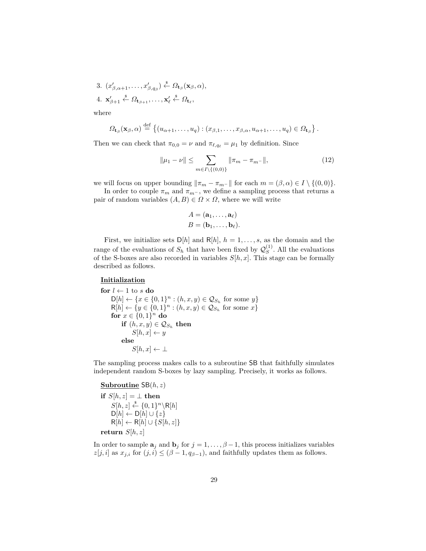3.  $(x'_{\beta,\alpha+1},\ldots,x'_{\beta,q_{\beta}}) \stackrel{\$}{\leftarrow} \Omega_{\mathbf{t}_{\beta}}(\mathbf{x}_{\beta},\alpha),$  $4. \mathbf{x}'_{\beta+1} \overset{\$}{\leftarrow} \Omega_{\mathbf{t}_{\beta+1}}, \ldots, \mathbf{x}'_{\ell} \overset{\$}{\leftarrow} \Omega_{\mathbf{t}_{\ell}},$ 

where

$$
\Omega_{\mathbf{t}_{\beta}}(\mathbf{x}_{\beta},\alpha) \stackrel{\text{def}}{=} \left\{ (u_{\alpha+1},\ldots,u_q) : (x_{\beta,1},\ldots,x_{\beta,\alpha},u_{\alpha+1},\ldots,u_q) \in \Omega_{\mathbf{t}_{\beta}} \right\}.
$$

Then we can check that  $\pi_{0,0} = \nu$  and  $\pi_{\ell,q_\ell} = \mu_1$  by definition. Since

<span id="page-28-0"></span>
$$
\|\mu_1 - \nu\| \le \sum_{m \in I \setminus \{(0,0)\}} \|\pi_m - \pi_{m-}\|,\tag{12}
$$

we will focus on upper bounding  $\|\pi_m - \pi_{m-}\|$  for each  $m = (\beta, \alpha) \in I \setminus \{(0, 0)\}.$ 

In order to couple  $\pi_m$  and  $\pi_{m}$ -, we define a sampling process that returns a pair of random variables  $(A, B) \in \Omega \times \Omega$ , where we will write

$$
A = (\mathbf{a}_1, \dots, \mathbf{a}_\ell)
$$
  

$$
B = (\mathbf{b}_1, \dots, \mathbf{b}_\ell).
$$

First, we initialize sets  $D[h]$  and  $R[h]$ ,  $h = 1, \ldots, s$ , as the domain and the range of the evaluations of  $S_h$  that have been fixed by  $\mathcal{Q}_S^{(1)}$  $S<sup>(1)</sup>$ . All the evaluations of the S-boxes are also recorded in variables  $S[h, x]$ . This stage can be formally described as follows.

## **Initialization**

```
l \leftarrow 1 to s do
      D[h] \leftarrow \{x \in \{0, 1\}^n : (h, x, y) \in \mathcal{Q}_{S_h} \text{ for some } y\}R[h] \leftarrow \{y \in \{0, 1\}^n : (h, x, y) \in \mathcal{Q}_{S_h} \text{ for some } x\}for x \in \{0, 1\}^n do
            if (h, x, y) \in \mathcal{Q}_{S_h} then
                 S[h, x] \leftarrow yelse
                 S[h,x] \leftarrow \perp
```
The sampling process makes calls to a subroutine SB that faithfully simulates independent random S-boxes by lazy sampling. Precisely, it works as follows.

## **Subroutine** SB(*h, z*)

**if**  $S[h, z] = \perp$  **then**  $S[h, z] \stackrel{\$}{\leftarrow} \{0, 1\}^n \backslash \mathsf{R}[h]$ D[*h*] ← D[*h*] ∪ {*z*}  $R[h] \leftarrow R[h] \cup \{S[h,z]\}$ **return** *S*[*h, z*]

In order to sample  $\mathbf{a}_j$  and  $\mathbf{b}_j$  for  $j = 1, \ldots, \beta - 1$ , this process initializes variables  $z[j, i]$  as  $x_{j,i}$  for  $(j, i) \leq (\beta - 1, q_{\beta-1})$ , and faithfully updates them as follows.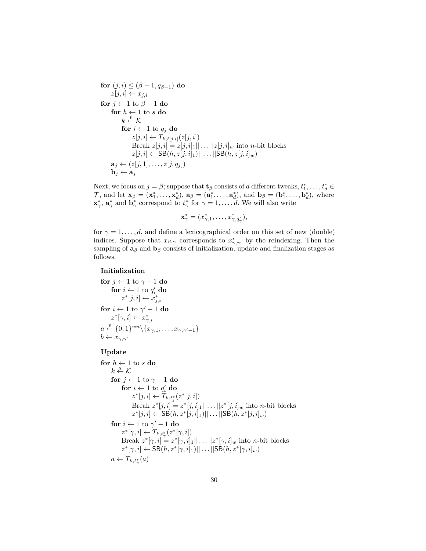```
for (j, i) \leq (\beta - 1, q_{\beta-1}) do
      z[j, i] \leftarrow x_{j,i}for j ← 1 to \beta – 1 do
      for h \leftarrow 1 to s do
             k \overset{\hspace{0.1em}\mathsf{\scriptscriptstyle\$}}{\leftarrow} \mathcal{K}for i \leftarrow 1 to q_j do
                    z[j, i] \leftarrow T_{k, t[j, i]}(z[j, i])Break z[j, i] = z[j, i]_1 || \dots ||z[j, i]_w into n-bit blocks
                    z[j, i] \leftarrow \text{SB}(h, z[j, i]_1)|| \dots ||\text{SB}(h, z[j, i]_w)\mathbf{a}_j \leftarrow (z[j, 1], \dots, z[j, q_j])\mathbf{b}_j \leftarrow \mathbf{a}_j
```
Next, we focus on  $j = \beta$ ; suppose that **t**<sub>*β*</sub> consists of *d* different tweaks,  $t_1^*, \ldots, t_d^* \in$  $\mathcal{T}$ , and let  $\mathbf{x}_{\beta} = (\mathbf{x}_1^*, \dots, \mathbf{x}_d^*)$ ,  $\mathbf{a}_{\beta} = (\mathbf{a}_1^*, \dots, \mathbf{a}_d^*)$ , and  $\mathbf{b}_{\beta} = (\mathbf{b}_1^*, \dots, \mathbf{b}_d^*)$ , where  $\mathbf{x}^*_{\gamma}$ ,  $\mathbf{a}^*_{\gamma}$  and  $\mathbf{b}^*_{\gamma}$  correspond to  $t^*_{\gamma}$  for  $\gamma = 1, \dots, d$ . We will also write

$$
\mathbf{x}^*_{\gamma} = (x^*_{\gamma,1},\ldots,x^*_{\gamma,q'_{\gamma}}),
$$

for  $\gamma = 1, \ldots, d$ , and define a lexicographical order on this set of new (double) indices. Suppose that  $x_{\beta,\alpha}$  corresponds to  $x^*_{\gamma,\gamma'}$  by the reindexing. Then the sampling of  $\mathbf{a}_{\beta}$  and  $\mathbf{b}_{\beta}$  consists of initialization, update and finalization stages as follows.

## **Initialization**

```
for j ← 1 to γ − 1 do
        for i \leftarrow 1 to q'_i do
                z^*[j,i] \leftarrow x^*_{j,i}for i \leftarrow 1 to \gamma' - 1 do
        z^*[\gamma, i] \leftarrow x^*_{\gamma, i}a \stackrel{\$}{\leftarrow} \{0,1\}^{wn} \setminus \{x_{\gamma,1}, \ldots, x_{\gamma,\gamma'-1}\}b \leftarrow x_{\gamma,\gamma'}
```
#### **Update**

```
for h \leftarrow 1 to s do
       k \stackrel{\hspace{0.1em}\mathsf{\scriptscriptstyle\$}}{\leftarrow} \mathcal{K}for j ← 1 to γ − 1 do
             for i \leftarrow 1 to q'_i do
                    z^*[j, i] \leftarrow T_{k,t_j^*}(z^*[j, i])Break z^*[j, i] = z^*[j, i]_1 || \dots ||z^*[j, i]_w into n-bit blocks
                    z^*[j, i] \leftarrow \text{SB}(h, z^*[j, i]_1)|| \dots ||\text{SB}(h, z^*[j, i]_w)for i \leftarrow 1 to \gamma' - 1 do
             z^*[\gamma, i] \leftarrow T_{k,t^*_{\gamma}}(z^*[\gamma, i])Break z^*[\gamma, i] = z^*[\gamma, i]_1 || \dots || z^*[\gamma, i]_w into n-bit blocks
             z^*[\gamma, i] \leftarrow \text{SB}(h, z^*[\gamma, i]_1) || \dots || \text{SB}(h, z^*[\gamma, i]_w)a \leftarrow T_{k,t_{\gamma}^*}(a)
```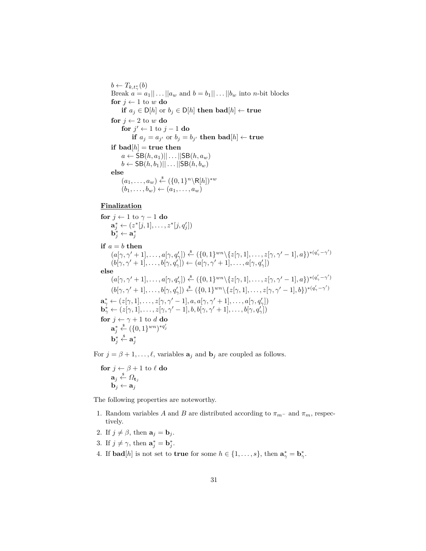$b \leftarrow T_{k,t_{\gamma}^{*}}(b)$ Break  $a = a_1 || \dots || a_w$  and  $b = b_1 || \dots || b_w$  into *n*-bit blocks **for**  $j \leftarrow 1$  to  $w$  **do if**  $a_j$  ∈ D[*h*] or  $b_j$  ∈ D[*h*] **then bad**[*h*] ← **true for**  $i \leftarrow 2$  to  $w$  **do for**  $j' \leftarrow 1$  to  $j - 1$  **do**  $\mathbf{if}$   $a_j = a_{j'}$  or  $b_j = b_{j'}$  then  $\mathbf{bad}[h] \leftarrow \mathbf{true}$ **if**  $\text{bad}[h] = \text{true}$  then  $a \leftarrow \text{SB}(h, a_1) || \dots || \text{SB}(h, a_w)$  $b \leftarrow \text{SB}(h, b_1) || \dots || \text{SB}(h, b_w)$ **else**  $(a_1, \ldots, a_w) \stackrel{\$}{\leftarrow} (\{0, 1\}^n \backslash \mathsf{R}[h])^{*w}$  $(b_1, \ldots, b_w) \leftarrow (a_1, \ldots, a_w)$ 

## **Finalization**

**for** *j* ← 1 to *γ* − 1 **do**  $\mathbf{a}_j^* \leftarrow (z^*[j, 1], \dots, z^*[j, q'_j])$  $\mathbf{b}^*_j \leftarrow \mathbf{a}^*_j$ **if**  $a = b$  **then**  $(a[\gamma, \gamma' + 1], \ldots, a[\gamma, q'] \rangle \overset{\text{s}}{\leftarrow} (\{0, 1\}^{wn} \setminus \{z[\gamma, 1], \ldots, z[\gamma, \gamma' - 1], a\})^{*(q'_{\gamma} - \gamma')}$  $(b[\gamma, \gamma' + 1], \ldots, b[\gamma, q'_\gamma]) \leftarrow (a[\gamma, \gamma' + 1], \ldots, a[\gamma, q'_\gamma])$ **else**  $(a[\gamma, \gamma' + 1], \ldots, a[\gamma, q'] \rangle \overset{\text{s}}{\leftarrow} (\{0, 1\}^{wn} \setminus \{z[\gamma, 1], \ldots, z[\gamma, \gamma' - 1], a\})^{*(q'_{\gamma} - \gamma')}$  $(b[\gamma, \gamma' + 1], \ldots, b[\gamma, q'_{\gamma}]) \stackrel{\$}{\leftarrow} (\{0, 1\}^{wn} \setminus \{z[\gamma, 1], \ldots, z[\gamma, \gamma' - 1], b\})^{*(q'_{\gamma} - \gamma')}$  $\mathbf{a}_{\gamma}^* \leftarrow (z[\gamma, 1], \dots, z[\gamma, \gamma' - 1], a, a[\gamma, \gamma' + 1], \dots, a[\gamma, q'_{\gamma}]\}$  $\mathbf{b}^*_\gamma \leftarrow (z[\gamma,1],\ldots,z[\gamma,\gamma'-1],b,b[\gamma,\gamma'+1],\ldots,b[\gamma,q_\gamma'])$ **for**  $j \leftarrow \gamma + 1$  to *d* **do**  $\mathbf{a}^*_j \overset{\hspace{0.1em}\mathsf{\scriptscriptstyle\$}}{\leftarrow} (\{0,1\}^{wn})^{*q'_j}$  $\mathbf{b}_j^* \overset{\hspace{0.1em}\mathsf{\scriptscriptstyle\$}}{\leftarrow} \mathbf{a}_j^*$ 

For  $j = \beta + 1, \ldots, \ell$ , variables  $\mathbf{a}_j$  and  $\mathbf{b}_j$  are coupled as follows.

**for**  $j \leftarrow \beta + 1$  to  $\ell$  **do**  $\mathbf{a}_j \overset{\hspace{0.1em}\mathsf{\scriptscriptstyle\$}}{\leftarrow} \varOmega_{\mathbf{t}_j}$  $\mathbf{b}_i \leftarrow \mathbf{a}_i$ 

The following properties are noteworthy.

- 1. Random variables *A* and *B* are distributed according to  $\pi_{m}$  and  $\pi_{m}$ , respectively.
- 2. If  $j \neq \beta$ , then  $\mathbf{a}_j = \mathbf{b}_j$ .
- 3. If  $j \neq \gamma$ , then  $\mathbf{a}_j^* = \mathbf{b}_j^*$ .
- 4. If  $\text{bad}[h]$  is not set to **true** for some  $h \in \{1, \ldots, s\}$ , then  $\mathbf{a}_{\gamma}^* = \mathbf{b}_{\gamma}^*$ .